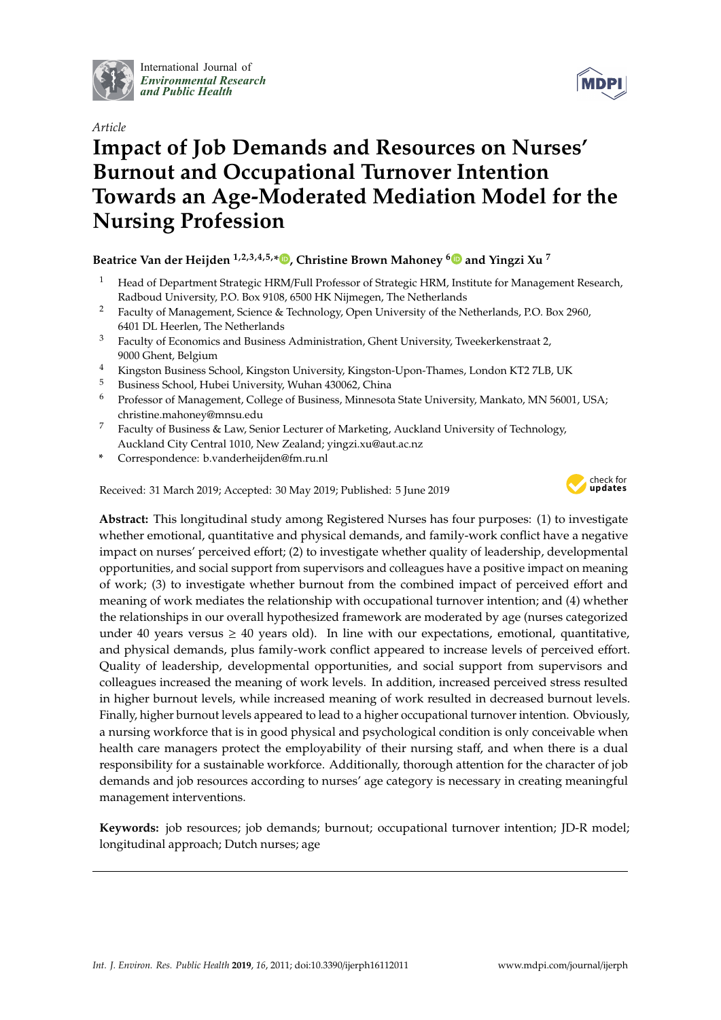

International Journal of *[Environmental Research](http://www.mdpi.com/journal/ijerph) and Public Health*



# *Article* **Impact of Job Demands and Resources on Nurses' Burnout and Occupational Turnover Intention Towards an Age-Moderated Mediation Model for the Nursing Profession**

# **Beatrice Van der Heijden 1,2,3,4,5,\* [,](https://orcid.org/0000-0001-8672-5368) Christine Brown Mahoney [6](https://orcid.org/0000-0002-5138-9795) and Yingzi Xu <sup>7</sup>**

- <sup>1</sup> Head of Department Strategic HRM/Full Professor of Strategic HRM, Institute for Management Research, Radboud University, P.O. Box 9108, 6500 HK Nijmegen, The Netherlands
- <sup>2</sup> Faculty of Management, Science & Technology, Open University of the Netherlands, P.O. Box 2960, 6401 DL Heerlen, The Netherlands
- <sup>3</sup> Faculty of Economics and Business Administration, Ghent University, Tweekerkenstraat 2, 9000 Ghent, Belgium
- <sup>4</sup> Kingston Business School, Kingston University, Kingston-Upon-Thames, London KT2 7LB, UK
- <sup>5</sup> Business School, Hubei University, Wuhan 430062, China
- <sup>6</sup> Professor of Management, College of Business, Minnesota State University, Mankato, MN 56001, USA; christine.mahoney@mnsu.edu
- <sup>7</sup> Faculty of Business & Law, Senior Lecturer of Marketing, Auckland University of Technology, Auckland City Central 1010, New Zealand; yingzi.xu@aut.ac.nz
- **\*** Correspondence: b.vanderheijden@fm.ru.nl

Received: 31 March 2019; Accepted: 30 May 2019; Published: 5 June 2019



**Abstract:** This longitudinal study among Registered Nurses has four purposes: (1) to investigate whether emotional, quantitative and physical demands, and family-work conflict have a negative impact on nurses' perceived effort; (2) to investigate whether quality of leadership, developmental opportunities, and social support from supervisors and colleagues have a positive impact on meaning of work; (3) to investigate whether burnout from the combined impact of perceived effort and meaning of work mediates the relationship with occupational turnover intention; and (4) whether the relationships in our overall hypothesized framework are moderated by age (nurses categorized under 40 years versus  $\geq$  40 years old). In line with our expectations, emotional, quantitative, and physical demands, plus family-work conflict appeared to increase levels of perceived effort. Quality of leadership, developmental opportunities, and social support from supervisors and colleagues increased the meaning of work levels. In addition, increased perceived stress resulted in higher burnout levels, while increased meaning of work resulted in decreased burnout levels. Finally, higher burnout levels appeared to lead to a higher occupational turnover intention. Obviously, a nursing workforce that is in good physical and psychological condition is only conceivable when health care managers protect the employability of their nursing staff, and when there is a dual responsibility for a sustainable workforce. Additionally, thorough attention for the character of job demands and job resources according to nurses' age category is necessary in creating meaningful management interventions.

**Keywords:** job resources; job demands; burnout; occupational turnover intention; JD-R model; longitudinal approach; Dutch nurses; age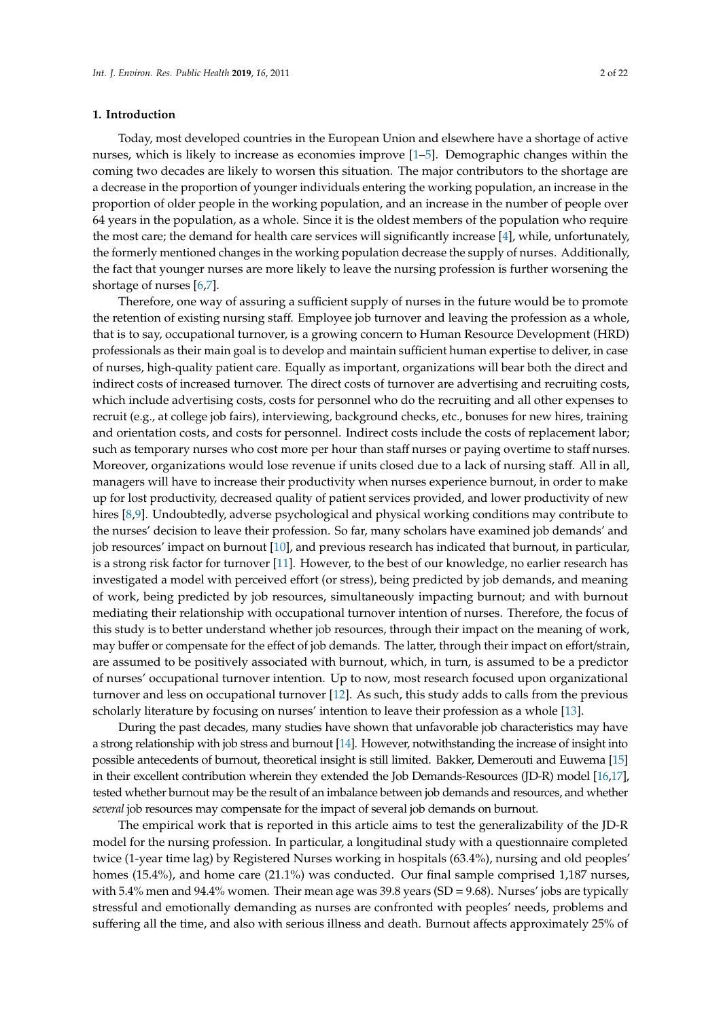## **1. Introduction**

Today, most developed countries in the European Union and elsewhere have a shortage of active nurses, which is likely to increase as economies improve [\[1](#page-17-0)[–5\]](#page-17-1). Demographic changes within the coming two decades are likely to worsen this situation. The major contributors to the shortage are a decrease in the proportion of younger individuals entering the working population, an increase in the proportion of older people in the working population, and an increase in the number of people over 64 years in the population, as a whole. Since it is the oldest members of the population who require the most care; the demand for health care services will significantly increase [\[4\]](#page-17-2), while, unfortunately, the formerly mentioned changes in the working population decrease the supply of nurses. Additionally, the fact that younger nurses are more likely to leave the nursing profession is further worsening the shortage of nurses [\[6](#page-17-3)[,7\]](#page-17-4).

Therefore, one way of assuring a sufficient supply of nurses in the future would be to promote the retention of existing nursing staff. Employee job turnover and leaving the profession as a whole, that is to say, occupational turnover, is a growing concern to Human Resource Development (HRD) professionals as their main goal is to develop and maintain sufficient human expertise to deliver, in case of nurses, high-quality patient care. Equally as important, organizations will bear both the direct and indirect costs of increased turnover. The direct costs of turnover are advertising and recruiting costs, which include advertising costs, costs for personnel who do the recruiting and all other expenses to recruit (e.g., at college job fairs), interviewing, background checks, etc., bonuses for new hires, training and orientation costs, and costs for personnel. Indirect costs include the costs of replacement labor; such as temporary nurses who cost more per hour than staff nurses or paying overtime to staff nurses. Moreover, organizations would lose revenue if units closed due to a lack of nursing staff. All in all, managers will have to increase their productivity when nurses experience burnout, in order to make up for lost productivity, decreased quality of patient services provided, and lower productivity of new hires [\[8,](#page-17-5)[9\]](#page-17-6). Undoubtedly, adverse psychological and physical working conditions may contribute to the nurses' decision to leave their profession. So far, many scholars have examined job demands' and job resources' impact on burnout [\[10\]](#page-17-7), and previous research has indicated that burnout, in particular, is a strong risk factor for turnover [\[11\]](#page-17-8). However, to the best of our knowledge, no earlier research has investigated a model with perceived effort (or stress), being predicted by job demands, and meaning of work, being predicted by job resources, simultaneously impacting burnout; and with burnout mediating their relationship with occupational turnover intention of nurses. Therefore, the focus of this study is to better understand whether job resources, through their impact on the meaning of work, may buffer or compensate for the effect of job demands. The latter, through their impact on effort/strain, are assumed to be positively associated with burnout, which, in turn, is assumed to be a predictor of nurses' occupational turnover intention. Up to now, most research focused upon organizational turnover and less on occupational turnover [\[12\]](#page-17-9). As such, this study adds to calls from the previous scholarly literature by focusing on nurses' intention to leave their profession as a whole [\[13\]](#page-17-10).

During the past decades, many studies have shown that unfavorable job characteristics may have a strong relationship with job stress and burnout [\[14\]](#page-17-11). However, notwithstanding the increase of insight into possible antecedents of burnout, theoretical insight is still limited. Bakker, Demerouti and Euwema [\[15\]](#page-17-12) in their excellent contribution wherein they extended the Job Demands-Resources (JD-R) model [\[16,](#page-17-13)[17\]](#page-17-14), tested whether burnout may be the result of an imbalance between job demands and resources, and whether *several* job resources may compensate for the impact of several job demands on burnout.

The empirical work that is reported in this article aims to test the generalizability of the JD-R model for the nursing profession. In particular, a longitudinal study with a questionnaire completed twice (1-year time lag) by Registered Nurses working in hospitals (63.4%), nursing and old peoples' homes (15.4%), and home care (21.1%) was conducted. Our final sample comprised 1,187 nurses, with 5.4% men and 94.4% women. Their mean age was  $39.8$  years (SD = 9.68). Nurses' jobs are typically stressful and emotionally demanding as nurses are confronted with peoples' needs, problems and suffering all the time, and also with serious illness and death. Burnout affects approximately 25% of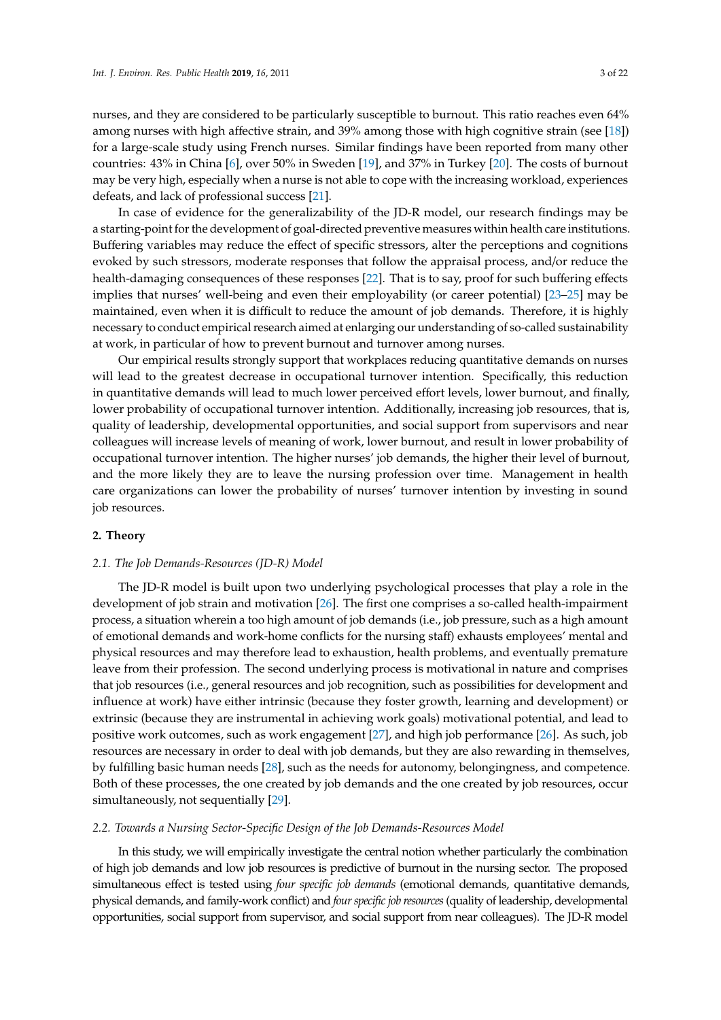nurses, and they are considered to be particularly susceptible to burnout. This ratio reaches even 64% among nurses with high affective strain, and 39% among those with high cognitive strain (see [\[18\]](#page-17-15)) for a large-scale study using French nurses. Similar findings have been reported from many other countries: 43% in China [\[6\]](#page-17-3), over 50% in Sweden [\[19\]](#page-17-16), and 37% in Turkey [\[20\]](#page-18-0). The costs of burnout may be very high, especially when a nurse is not able to cope with the increasing workload, experiences defeats, and lack of professional success [\[21\]](#page-18-1).

In case of evidence for the generalizability of the JD-R model, our research findings may be a starting-point for the development of goal-directed preventive measures within health care institutions. Buffering variables may reduce the effect of specific stressors, alter the perceptions and cognitions evoked by such stressors, moderate responses that follow the appraisal process, and/or reduce the health-damaging consequences of these responses [\[22\]](#page-18-2). That is to say, proof for such buffering effects implies that nurses' well-being and even their employability (or career potential) [\[23](#page-18-3)[–25\]](#page-18-4) may be maintained, even when it is difficult to reduce the amount of job demands. Therefore, it is highly necessary to conduct empirical research aimed at enlarging our understanding of so-called sustainability at work, in particular of how to prevent burnout and turnover among nurses.

Our empirical results strongly support that workplaces reducing quantitative demands on nurses will lead to the greatest decrease in occupational turnover intention. Specifically, this reduction in quantitative demands will lead to much lower perceived effort levels, lower burnout, and finally, lower probability of occupational turnover intention. Additionally, increasing job resources, that is, quality of leadership, developmental opportunities, and social support from supervisors and near colleagues will increase levels of meaning of work, lower burnout, and result in lower probability of occupational turnover intention. The higher nurses' job demands, the higher their level of burnout, and the more likely they are to leave the nursing profession over time. Management in health care organizations can lower the probability of nurses' turnover intention by investing in sound job resources.

# **2. Theory**

#### *2.1. The Job Demands-Resources (JD-R) Model*

The JD-R model is built upon two underlying psychological processes that play a role in the development of job strain and motivation [\[26\]](#page-18-5). The first one comprises a so-called health-impairment process, a situation wherein a too high amount of job demands (i.e., job pressure, such as a high amount of emotional demands and work-home conflicts for the nursing staff) exhausts employees' mental and physical resources and may therefore lead to exhaustion, health problems, and eventually premature leave from their profession. The second underlying process is motivational in nature and comprises that job resources (i.e., general resources and job recognition, such as possibilities for development and influence at work) have either intrinsic (because they foster growth, learning and development) or extrinsic (because they are instrumental in achieving work goals) motivational potential, and lead to positive work outcomes, such as work engagement [\[27\]](#page-18-6), and high job performance [\[26\]](#page-18-5). As such, job resources are necessary in order to deal with job demands, but they are also rewarding in themselves, by fulfilling basic human needs [\[28\]](#page-18-7), such as the needs for autonomy, belongingness, and competence. Both of these processes, the one created by job demands and the one created by job resources, occur simultaneously, not sequentially [\[29\]](#page-18-8).

# *2.2. Towards a Nursing Sector-Specific Design of the Job Demands-Resources Model*

In this study, we will empirically investigate the central notion whether particularly the combination of high job demands and low job resources is predictive of burnout in the nursing sector. The proposed simultaneous effect is tested using *four specific job demands* (emotional demands, quantitative demands, physical demands, and family-work conflict) and *four specific job resources*(quality of leadership, developmental opportunities, social support from supervisor, and social support from near colleagues). The JD-R model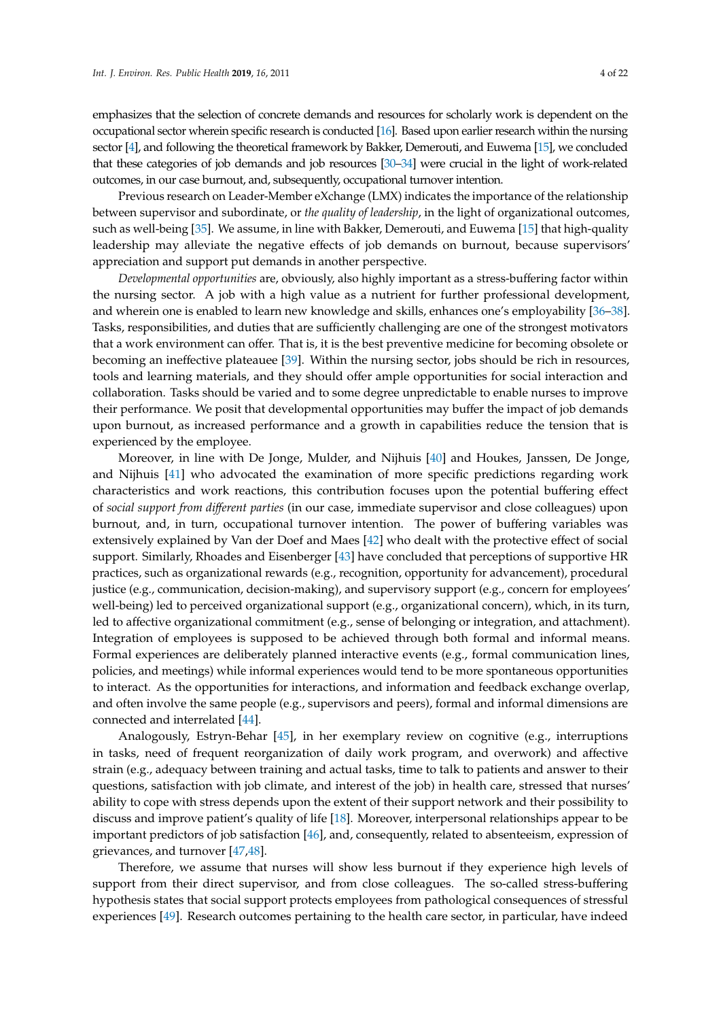emphasizes that the selection of concrete demands and resources for scholarly work is dependent on the occupational sector wherein specific research is conducted [\[16\]](#page-17-13). Based upon earlier research within the nursing sector [\[4\]](#page-17-2), and following the theoretical framework by Bakker, Demerouti, and Euwema [\[15\]](#page-17-12), we concluded that these categories of job demands and job resources [\[30–](#page-18-9)[34\]](#page-18-10) were crucial in the light of work-related outcomes, in our case burnout, and, subsequently, occupational turnover intention.

Previous research on Leader-Member eXchange (LMX) indicates the importance of the relationship between supervisor and subordinate, or *the quality of leadership*, in the light of organizational outcomes, such as well-being [\[35\]](#page-18-11). We assume, in line with Bakker, Demerouti, and Euwema [\[15\]](#page-17-12) that high-quality leadership may alleviate the negative effects of job demands on burnout, because supervisors' appreciation and support put demands in another perspective.

*Developmental opportunities* are, obviously, also highly important as a stress-buffering factor within the nursing sector. A job with a high value as a nutrient for further professional development, and wherein one is enabled to learn new knowledge and skills, enhances one's employability [\[36–](#page-18-12)[38\]](#page-18-13). Tasks, responsibilities, and duties that are sufficiently challenging are one of the strongest motivators that a work environment can offer. That is, it is the best preventive medicine for becoming obsolete or becoming an ineffective plateauee [\[39\]](#page-18-14). Within the nursing sector, jobs should be rich in resources, tools and learning materials, and they should offer ample opportunities for social interaction and collaboration. Tasks should be varied and to some degree unpredictable to enable nurses to improve their performance. We posit that developmental opportunities may buffer the impact of job demands upon burnout, as increased performance and a growth in capabilities reduce the tension that is experienced by the employee.

Moreover, in line with De Jonge, Mulder, and Nijhuis [\[40\]](#page-18-15) and Houkes, Janssen, De Jonge, and Nijhuis [\[41\]](#page-18-16) who advocated the examination of more specific predictions regarding work characteristics and work reactions, this contribution focuses upon the potential buffering effect of *social support from di*ff*erent parties* (in our case, immediate supervisor and close colleagues) upon burnout, and, in turn, occupational turnover intention. The power of buffering variables was extensively explained by Van der Doef and Maes [\[42\]](#page-19-0) who dealt with the protective effect of social support. Similarly, Rhoades and Eisenberger [\[43\]](#page-19-1) have concluded that perceptions of supportive HR practices, such as organizational rewards (e.g., recognition, opportunity for advancement), procedural justice (e.g., communication, decision-making), and supervisory support (e.g., concern for employees' well-being) led to perceived organizational support (e.g., organizational concern), which, in its turn, led to affective organizational commitment (e.g., sense of belonging or integration, and attachment). Integration of employees is supposed to be achieved through both formal and informal means. Formal experiences are deliberately planned interactive events (e.g., formal communication lines, policies, and meetings) while informal experiences would tend to be more spontaneous opportunities to interact. As the opportunities for interactions, and information and feedback exchange overlap, and often involve the same people (e.g., supervisors and peers), formal and informal dimensions are connected and interrelated [\[44\]](#page-19-2).

Analogously, Estryn-Behar [\[45\]](#page-19-3), in her exemplary review on cognitive (e.g., interruptions in tasks, need of frequent reorganization of daily work program, and overwork) and affective strain (e.g., adequacy between training and actual tasks, time to talk to patients and answer to their questions, satisfaction with job climate, and interest of the job) in health care, stressed that nurses' ability to cope with stress depends upon the extent of their support network and their possibility to discuss and improve patient's quality of life [\[18\]](#page-17-15). Moreover, interpersonal relationships appear to be important predictors of job satisfaction [\[46\]](#page-19-4), and, consequently, related to absenteeism, expression of grievances, and turnover [\[47](#page-19-5)[,48\]](#page-19-6).

Therefore, we assume that nurses will show less burnout if they experience high levels of support from their direct supervisor, and from close colleagues. The so-called stress-buffering hypothesis states that social support protects employees from pathological consequences of stressful experiences [\[49\]](#page-19-7). Research outcomes pertaining to the health care sector, in particular, have indeed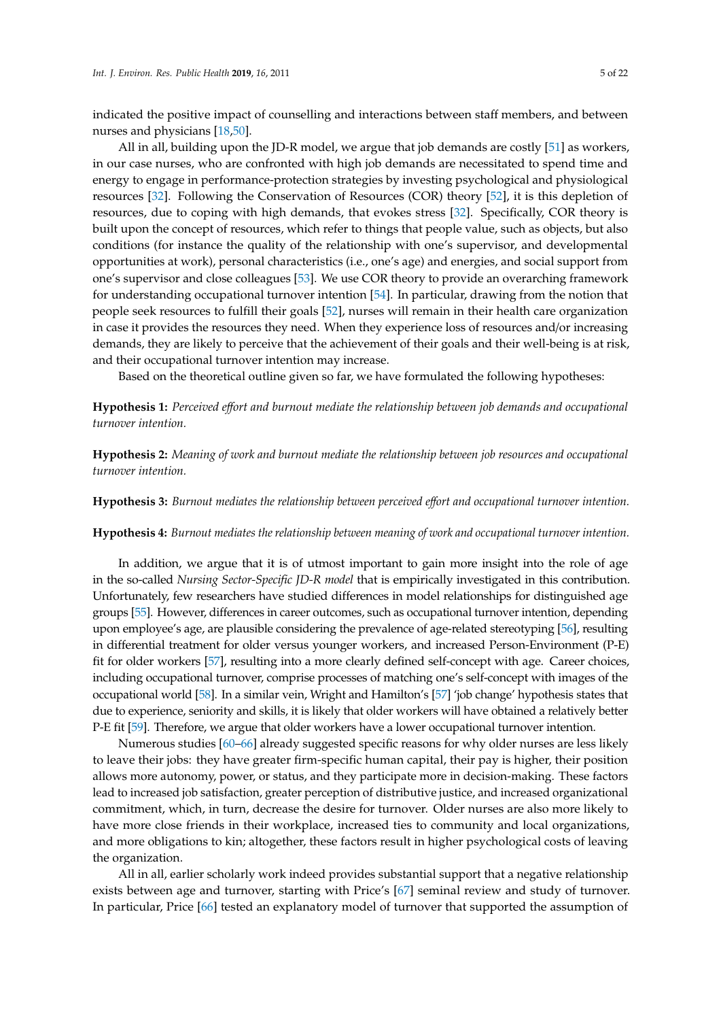indicated the positive impact of counselling and interactions between staff members, and between nurses and physicians [\[18](#page-17-15)[,50\]](#page-19-8).

All in all, building upon the JD-R model, we argue that job demands are costly [\[51\]](#page-19-9) as workers, in our case nurses, who are confronted with high job demands are necessitated to spend time and energy to engage in performance-protection strategies by investing psychological and physiological resources [\[32\]](#page-18-17). Following the Conservation of Resources (COR) theory [\[52\]](#page-19-10), it is this depletion of resources, due to coping with high demands, that evokes stress [\[32\]](#page-18-17). Specifically, COR theory is built upon the concept of resources, which refer to things that people value, such as objects, but also conditions (for instance the quality of the relationship with one's supervisor, and developmental opportunities at work), personal characteristics (i.e., one's age) and energies, and social support from one's supervisor and close colleagues [\[53\]](#page-19-11). We use COR theory to provide an overarching framework for understanding occupational turnover intention [\[54\]](#page-19-12). In particular, drawing from the notion that people seek resources to fulfill their goals [\[52\]](#page-19-10), nurses will remain in their health care organization in case it provides the resources they need. When they experience loss of resources and/or increasing demands, they are likely to perceive that the achievement of their goals and their well-being is at risk, and their occupational turnover intention may increase.

Based on the theoretical outline given so far, we have formulated the following hypotheses:

**Hypothesis 1:** *Perceived e*ff*ort and burnout mediate the relationship between job demands and occupational turnover intention.*

**Hypothesis 2:** *Meaning of work and burnout mediate the relationship between job resources and occupational turnover intention.*

**Hypothesis 3:** *Burnout mediates the relationship between perceived e*ff*ort and occupational turnover intention.*

#### **Hypothesis 4:** *Burnout mediates the relationship between meaning of work and occupational turnover intention.*

In addition, we argue that it is of utmost important to gain more insight into the role of age in the so-called *Nursing Sector-Specific JD-R model* that is empirically investigated in this contribution. Unfortunately, few researchers have studied differences in model relationships for distinguished age groups [\[55\]](#page-19-13). However, differences in career outcomes, such as occupational turnover intention, depending upon employee's age, are plausible considering the prevalence of age-related stereotyping [\[56\]](#page-19-14), resulting in differential treatment for older versus younger workers, and increased Person-Environment (P-E) fit for older workers [\[57\]](#page-19-15), resulting into a more clearly defined self-concept with age. Career choices, including occupational turnover, comprise processes of matching one's self-concept with images of the occupational world [\[58\]](#page-19-16). In a similar vein, Wright and Hamilton's [\[57\]](#page-19-15) 'job change' hypothesis states that due to experience, seniority and skills, it is likely that older workers will have obtained a relatively better P-E fit [\[59\]](#page-19-17). Therefore, we argue that older workers have a lower occupational turnover intention.

Numerous studies [\[60](#page-19-18)[–66\]](#page-19-19) already suggested specific reasons for why older nurses are less likely to leave their jobs: they have greater firm-specific human capital, their pay is higher, their position allows more autonomy, power, or status, and they participate more in decision-making. These factors lead to increased job satisfaction, greater perception of distributive justice, and increased organizational commitment, which, in turn, decrease the desire for turnover. Older nurses are also more likely to have more close friends in their workplace, increased ties to community and local organizations, and more obligations to kin; altogether, these factors result in higher psychological costs of leaving the organization.

All in all, earlier scholarly work indeed provides substantial support that a negative relationship exists between age and turnover, starting with Price's [\[67\]](#page-20-0) seminal review and study of turnover. In particular, Price [\[66\]](#page-19-19) tested an explanatory model of turnover that supported the assumption of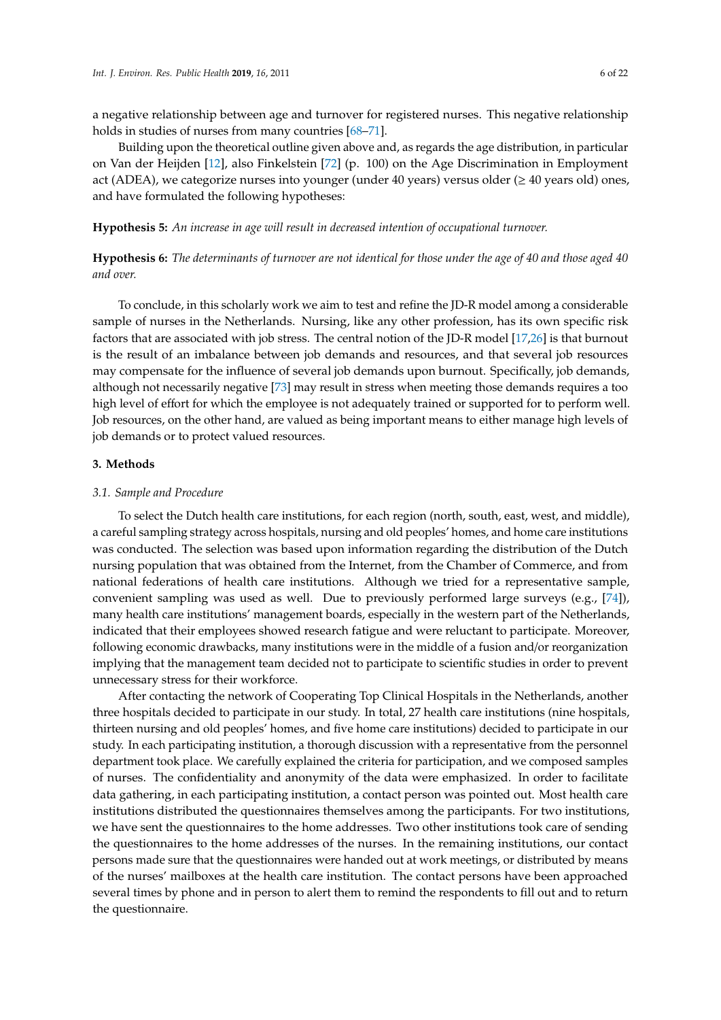a negative relationship between age and turnover for registered nurses. This negative relationship holds in studies of nurses from many countries [\[68](#page-20-1)[–71\]](#page-20-2).

Building upon the theoretical outline given above and, as regards the age distribution, in particular on Van der Heijden [\[12\]](#page-17-9), also Finkelstein [\[72\]](#page-20-3) (p. 100) on the Age Discrimination in Employment act (ADEA), we categorize nurses into younger (under 40 years) versus older ( $\geq$  40 years old) ones, and have formulated the following hypotheses:

**Hypothesis 5:** *An increase in age will result in decreased intention of occupational turnover.*

**Hypothesis 6:** *The determinants of turnover are not identical for those under the age of 40 and those aged 40 and over.*

To conclude, in this scholarly work we aim to test and refine the JD-R model among a considerable sample of nurses in the Netherlands. Nursing, like any other profession, has its own specific risk factors that are associated with job stress. The central notion of the JD-R model [\[17](#page-17-14)[,26\]](#page-18-5) is that burnout is the result of an imbalance between job demands and resources, and that several job resources may compensate for the influence of several job demands upon burnout. Specifically, job demands, although not necessarily negative [\[73\]](#page-20-4) may result in stress when meeting those demands requires a too high level of effort for which the employee is not adequately trained or supported for to perform well. Job resources, on the other hand, are valued as being important means to either manage high levels of job demands or to protect valued resources.

#### **3. Methods**

#### *3.1. Sample and Procedure*

To select the Dutch health care institutions, for each region (north, south, east, west, and middle), a careful sampling strategy across hospitals, nursing and old peoples' homes, and home care institutions was conducted. The selection was based upon information regarding the distribution of the Dutch nursing population that was obtained from the Internet, from the Chamber of Commerce, and from national federations of health care institutions. Although we tried for a representative sample, convenient sampling was used as well. Due to previously performed large surveys (e.g., [\[74\]](#page-20-5)), many health care institutions' management boards, especially in the western part of the Netherlands, indicated that their employees showed research fatigue and were reluctant to participate. Moreover, following economic drawbacks, many institutions were in the middle of a fusion and/or reorganization implying that the management team decided not to participate to scientific studies in order to prevent unnecessary stress for their workforce.

After contacting the network of Cooperating Top Clinical Hospitals in the Netherlands, another three hospitals decided to participate in our study. In total, 27 health care institutions (nine hospitals, thirteen nursing and old peoples' homes, and five home care institutions) decided to participate in our study. In each participating institution, a thorough discussion with a representative from the personnel department took place. We carefully explained the criteria for participation, and we composed samples of nurses. The confidentiality and anonymity of the data were emphasized. In order to facilitate data gathering, in each participating institution, a contact person was pointed out. Most health care institutions distributed the questionnaires themselves among the participants. For two institutions, we have sent the questionnaires to the home addresses. Two other institutions took care of sending the questionnaires to the home addresses of the nurses. In the remaining institutions, our contact persons made sure that the questionnaires were handed out at work meetings, or distributed by means of the nurses' mailboxes at the health care institution. The contact persons have been approached several times by phone and in person to alert them to remind the respondents to fill out and to return the questionnaire.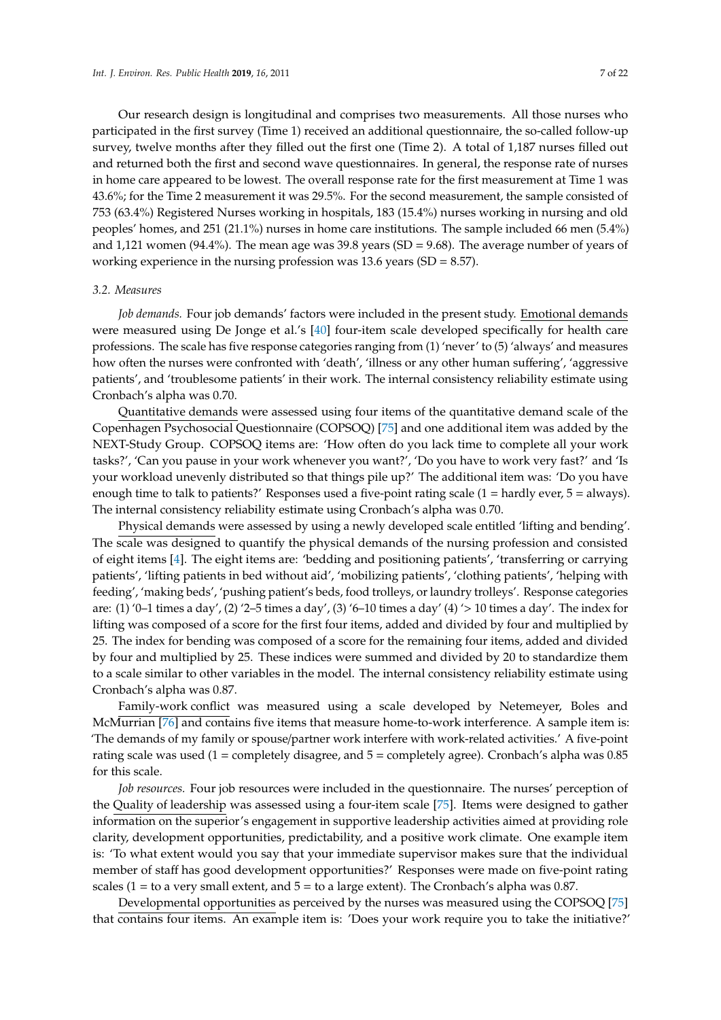Our research design is longitudinal and comprises two measurements. All those nurses who participated in the first survey (Time 1) received an additional questionnaire, the so-called follow-up survey, twelve months after they filled out the first one (Time 2). A total of 1,187 nurses filled out and returned both the first and second wave questionnaires. In general, the response rate of nurses in home care appeared to be lowest. The overall response rate for the first measurement at Time 1 was 43.6%; for the Time 2 measurement it was 29.5%. For the second measurement, the sample consisted of 753 (63.4%) Registered Nurses working in hospitals, 183 (15.4%) nurses working in nursing and old peoples' homes, and 251 (21.1%) nurses in home care institutions. The sample included 66 men (5.4%) and 1,121 women (94.4%). The mean age was 39.8 years (SD = 9.68). The average number of years of working experience in the nursing profession was 13.6 years (SD = 8.57).

# *3.2. Measures*

*Job demands.* Four job demands' factors were included in the present study. Emotional demands were measured using De Jonge et al.'s [\[40\]](#page-18-15) four-item scale developed specifically for health care professions. The scale has five response categories ranging from (1) 'never' to (5) 'always' and measures how often the nurses were confronted with 'death', 'illness or any other human suffering', 'aggressive patients', and 'troublesome patients' in their work. The internal consistency reliability estimate using Cronbach's alpha was 0.70.

Quantitative demands were assessed using four items of the quantitative demand scale of the Copenhagen Psychosocial Questionnaire (COPSOQ) [\[75\]](#page-20-6) and one additional item was added by the NEXT-Study Group. COPSOQ items are: 'How often do you lack time to complete all your work tasks?', 'Can you pause in your work whenever you want?', 'Do you have to work very fast?' and 'Is your workload unevenly distributed so that things pile up?' The additional item was: 'Do you have enough time to talk to patients?' Responses used a five-point rating scale (1 = hardly ever, 5 = always). The internal consistency reliability estimate using Cronbach's alpha was 0.70.

Physical demands were assessed by using a newly developed scale entitled 'lifting and bending'. The scale was designed to quantify the physical demands of the nursing profession and consisted of eight items [\[4\]](#page-17-2). The eight items are: 'bedding and positioning patients', 'transferring or carrying patients', 'lifting patients in bed without aid', 'mobilizing patients', 'clothing patients', 'helping with feeding', 'making beds', 'pushing patient's beds, food trolleys, or laundry trolleys'. Response categories are: (1) '0–1 times a day', (2) '2–5 times a day', (3) '6–10 times a day' (4) '> 10 times a day'. The index for lifting was composed of a score for the first four items, added and divided by four and multiplied by 25. The index for bending was composed of a score for the remaining four items, added and divided by four and multiplied by 25. These indices were summed and divided by 20 to standardize them to a scale similar to other variables in the model. The internal consistency reliability estimate using Cronbach's alpha was 0.87.

Family-work conflict was measured using a scale developed by Netemeyer, Boles and McMurrian [\[76\]](#page-20-7) and contains five items that measure home-to-work interference. A sample item is: 'The demands of my family or spouse/partner work interfere with work-related activities.' A five-point rating scale was used (1 = completely disagree, and 5 = completely agree). Cronbach's alpha was 0.85 for this scale.

*Job resources.* Four job resources were included in the questionnaire. The nurses' perception of the Quality of leadership was assessed using a four-item scale [\[75\]](#page-20-6). Items were designed to gather information on the superior's engagement in supportive leadership activities aimed at providing role clarity, development opportunities, predictability, and a positive work climate. One example item is: 'To what extent would you say that your immediate supervisor makes sure that the individual member of staff has good development opportunities?' Responses were made on five-point rating scales (1 = to a very small extent, and  $5 =$  to a large extent). The Cronbach's alpha was 0.87.

Developmental opportunities as perceived by the nurses was measured using the COPSOQ [\[75\]](#page-20-6) that contains four items. An example item is: 'Does your work require you to take the initiative?'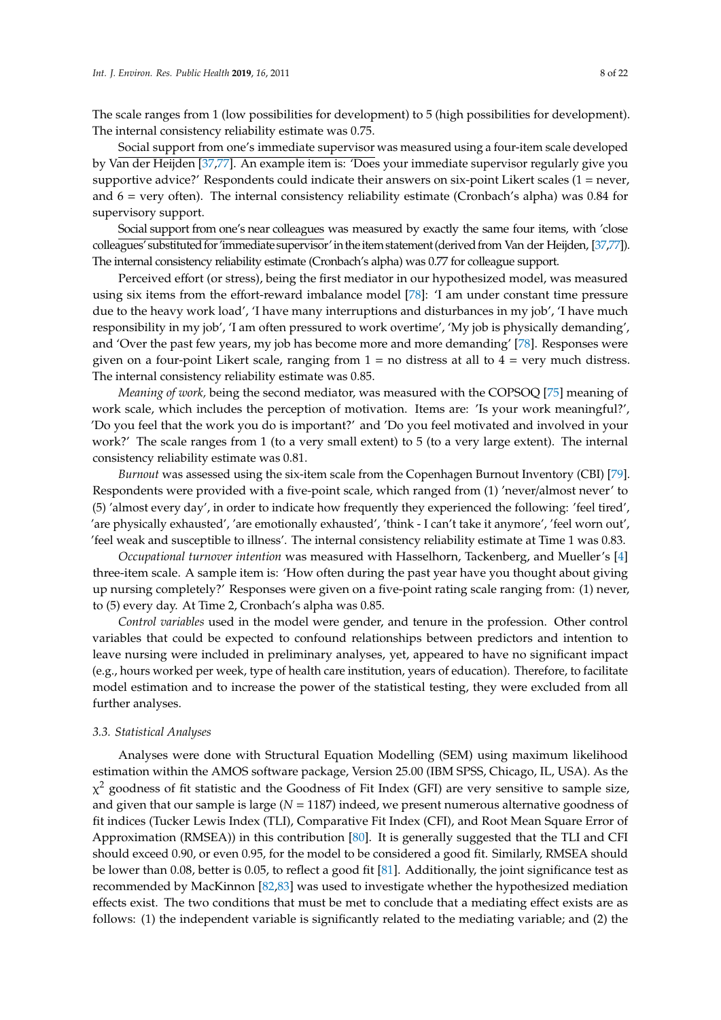The scale ranges from 1 (low possibilities for development) to 5 (high possibilities for development). The internal consistency reliability estimate was 0.75.

Social support from one's immediate supervisor was measured using a four-item scale developed by Van der Heijden [\[37](#page-18-18)[,77\]](#page-20-8). An example item is: 'Does your immediate supervisor regularly give you supportive advice?' Respondents could indicate their answers on six-point Likert scales (1 = never, and 6 = very often). The internal consistency reliability estimate (Cronbach's alpha) was 0.84 for supervisory support.

Social support from one's near colleagues was measured by exactly the same four items, with 'close colleagues' substituted for'immediate supervisor'in theitem statement (derivedfrom Van der Heijden, [\[37,](#page-18-18)[77\]](#page-20-8)). The internal consistency reliability estimate (Cronbach's alpha) was 0.77 for colleague support.

Perceived effort (or stress), being the first mediator in our hypothesized model, was measured using six items from the effort-reward imbalance model [\[78\]](#page-20-9): 'I am under constant time pressure due to the heavy work load', 'I have many interruptions and disturbances in my job', 'I have much responsibility in my job', 'I am often pressured to work overtime', 'My job is physically demanding', and 'Over the past few years, my job has become more and more demanding' [\[78\]](#page-20-9). Responses were given on a four-point Likert scale, ranging from  $1 =$  no distress at all to  $4 =$  very much distress. The internal consistency reliability estimate was 0.85.

*Meaning of work,* being the second mediator, was measured with the COPSOQ [\[75\]](#page-20-6) meaning of work scale, which includes the perception of motivation. Items are: 'Is your work meaningful?', 'Do you feel that the work you do is important?' and 'Do you feel motivated and involved in your work?' The scale ranges from 1 (to a very small extent) to 5 (to a very large extent). The internal consistency reliability estimate was 0.81.

*Burnout* was assessed using the six-item scale from the Copenhagen Burnout Inventory (CBI) [\[79\]](#page-20-10). Respondents were provided with a five-point scale, which ranged from (1) 'never/almost never' to (5) 'almost every day', in order to indicate how frequently they experienced the following: 'feel tired', 'are physically exhausted', 'are emotionally exhausted', 'think - I can't take it anymore', 'feel worn out', 'feel weak and susceptible to illness'. The internal consistency reliability estimate at Time 1 was 0.83.

*Occupational turnover intention* was measured with Hasselhorn, Tackenberg, and Mueller's [\[4\]](#page-17-2) three-item scale. A sample item is: 'How often during the past year have you thought about giving up nursing completely?' Responses were given on a five-point rating scale ranging from: (1) never, to (5) every day. At Time 2, Cronbach's alpha was 0.85.

*Control variables* used in the model were gender, and tenure in the profession. Other control variables that could be expected to confound relationships between predictors and intention to leave nursing were included in preliminary analyses, yet, appeared to have no significant impact (e.g., hours worked per week, type of health care institution, years of education). Therefore, to facilitate model estimation and to increase the power of the statistical testing, they were excluded from all further analyses.

#### *3.3. Statistical Analyses*

Analyses were done with Structural Equation Modelling (SEM) using maximum likelihood estimation within the AMOS software package, Version 25.00 (IBM SPSS, Chicago, IL, USA). As the  $\chi^2$  goodness of fit statistic and the Goodness of Fit Index (GFI) are very sensitive to sample size, and given that our sample is large  $(N = 1187)$  indeed, we present numerous alternative goodness of fit indices (Tucker Lewis Index (TLI), Comparative Fit Index (CFI), and Root Mean Square Error of Approximation (RMSEA)) in this contribution [\[80\]](#page-20-11). It is generally suggested that the TLI and CFI should exceed 0.90, or even 0.95, for the model to be considered a good fit. Similarly, RMSEA should be lower than 0.08, better is 0.05, to reflect a good fit [\[81\]](#page-20-12). Additionally, the joint significance test as recommended by MacKinnon [\[82,](#page-20-13)[83\]](#page-20-14) was used to investigate whether the hypothesized mediation effects exist. The two conditions that must be met to conclude that a mediating effect exists are as follows: (1) the independent variable is significantly related to the mediating variable; and (2) the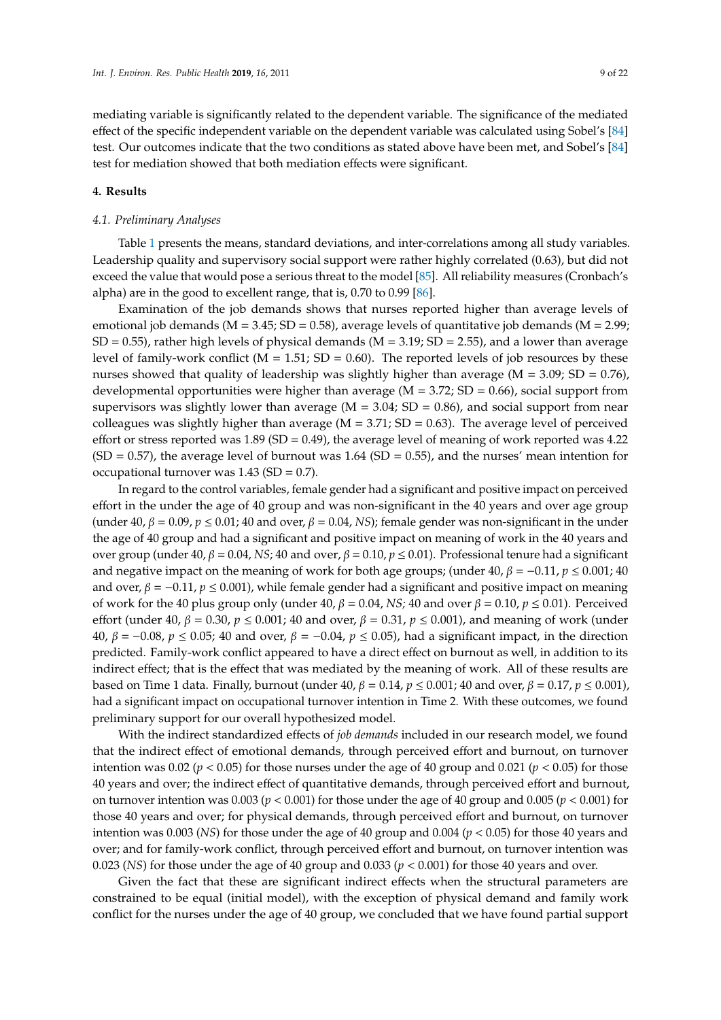mediating variable is significantly related to the dependent variable. The significance of the mediated effect of the specific independent variable on the dependent variable was calculated using Sobel's [\[84\]](#page-20-15) test. Our outcomes indicate that the two conditions as stated above have been met, and Sobel's [\[84\]](#page-20-15) test for mediation showed that both mediation effects were significant.

#### **4. Results**

# *4.1. Preliminary Analyses*

Table [1](#page-10-0) presents the means, standard deviations, and inter-correlations among all study variables. Leadership quality and supervisory social support were rather highly correlated (0.63), but did not exceed the value that would pose a serious threat to the model [\[85\]](#page-20-16). All reliability measures (Cronbach's alpha) are in the good to excellent range, that is, 0.70 to 0.99 [\[86\]](#page-20-17).

Examination of the job demands shows that nurses reported higher than average levels of emotional job demands ( $M = 3.45$ ; SD = 0.58), average levels of quantitative job demands ( $M = 2.99$ ;  $SD = 0.55$ ), rather high levels of physical demands (M = 3.19; SD = 2.55), and a lower than average level of family-work conflict ( $M = 1.51$ ; SD = 0.60). The reported levels of job resources by these nurses showed that quality of leadership was slightly higher than average ( $M = 3.09$ ; SD = 0.76), developmental opportunities were higher than average ( $M = 3.72$ ; SD = 0.66), social support from supervisors was slightly lower than average  $(M = 3.04; SD = 0.86)$ , and social support from near colleagues was slightly higher than average ( $M = 3.71$ ; SD = 0.63). The average level of perceived effort or stress reported was  $1.89$  (SD = 0.49), the average level of meaning of work reported was  $4.22$  $(SD = 0.57)$ , the average level of burnout was 1.64  $(SD = 0.55)$ , and the nurses' mean intention for occupational turnover was  $1.43$  (SD = 0.7).

In regard to the control variables, female gender had a significant and positive impact on perceived effort in the under the age of 40 group and was non-significant in the 40 years and over age group (under 40,  $\beta = 0.09$ ,  $p \le 0.01$ ; 40 and over,  $\beta = 0.04$ , *NS*); female gender was non-significant in the under the age of 40 group and had a significant and positive impact on meaning of work in the 40 years and over group (under 40, β = 0.04, *NS*; 40 and over, β = 0.10, *p* ≤ 0.01). Professional tenure had a significant and negative impact on the meaning of work for both age groups; (under  $40, \beta = -0.11, p \le 0.001$ ; 40 and over,  $\beta = -0.11$ ,  $p \le 0.001$ ), while female gender had a significant and positive impact on meaning of work for the 40 plus group only (under 40,  $\beta = 0.04$ , *NS*; 40 and over  $\beta = 0.10$ ,  $p \le 0.01$ ). Perceived effort (under 40,  $\beta = 0.30$ ,  $p \le 0.001$ ; 40 and over,  $\beta = 0.31$ ,  $p \le 0.001$ ), and meaning of work (under 40, β = −0.08, *p* ≤ 0.05; 40 and over, β = −0.04, *p* ≤ 0.05), had a significant impact, in the direction predicted. Family-work conflict appeared to have a direct effect on burnout as well, in addition to its indirect effect; that is the effect that was mediated by the meaning of work. All of these results are based on Time 1 data. Finally, burnout (under  $40$ ,  $\beta = 0.14$ ,  $p \le 0.001$ ; 40 and over,  $\beta = 0.17$ ,  $p \le 0.001$ ), had a significant impact on occupational turnover intention in Time 2. With these outcomes, we found preliminary support for our overall hypothesized model.

With the indirect standardized effects of *job demands* included in our research model, we found that the indirect effect of emotional demands, through perceived effort and burnout, on turnover intention was 0.02 ( $p < 0.05$ ) for those nurses under the age of 40 group and 0.021 ( $p < 0.05$ ) for those 40 years and over; the indirect effect of quantitative demands, through perceived effort and burnout, on turnover intention was 0.003 (*p* < 0.001) for those under the age of 40 group and 0.005 (*p* < 0.001) for those 40 years and over; for physical demands, through perceived effort and burnout, on turnover intention was 0.003 (*NS*) for those under the age of 40 group and 0.004 ( $p < 0.05$ ) for those 40 years and over; and for family-work conflict, through perceived effort and burnout, on turnover intention was 0.023 (*NS*) for those under the age of 40 group and 0.033 ( $p < 0.001$ ) for those 40 years and over.

Given the fact that these are significant indirect effects when the structural parameters are constrained to be equal (initial model), with the exception of physical demand and family work conflict for the nurses under the age of 40 group, we concluded that we have found partial support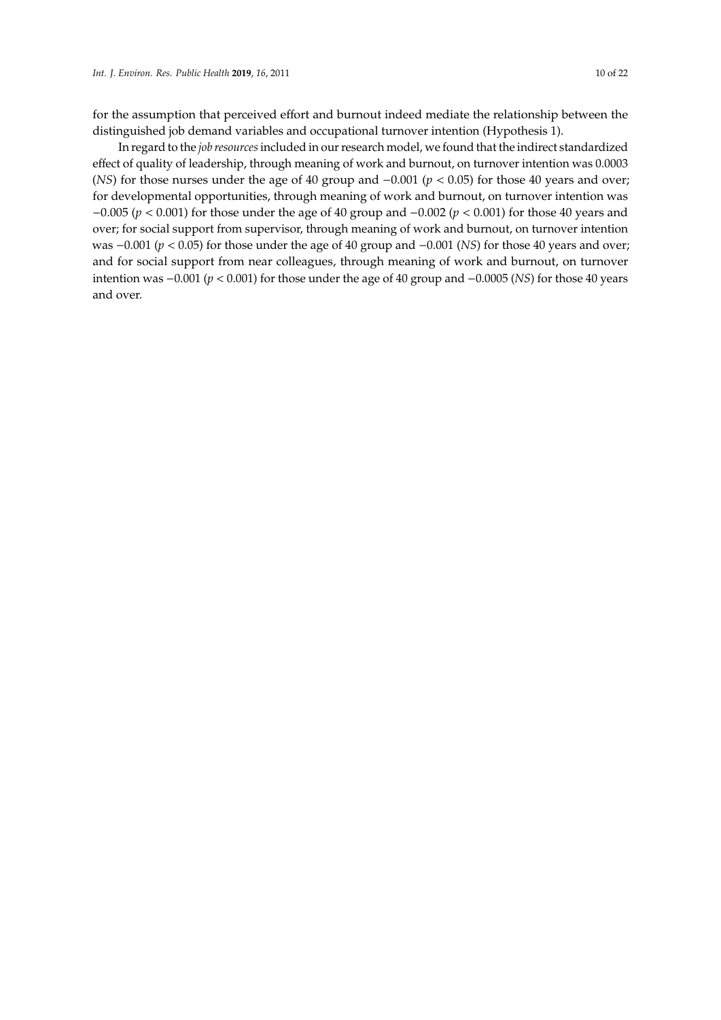for the assumption that perceived effort and burnout indeed mediate the relationship between the distinguished job demand variables and occupational turnover intention (Hypothesis 1).

In regard to the *job resources*included in our research model, we found that the indirect standardized effect of quality of leadership, through meaning of work and burnout, on turnover intention was 0.0003 (*NS*) for those nurses under the age of 40 group and  $-0.001$  ( $p < 0.05$ ) for those 40 years and over; for developmental opportunities, through meaning of work and burnout, on turnover intention was −0.005 (*p* < 0.001) for those under the age of 40 group and −0.002 (*p* < 0.001) for those 40 years and over; for social support from supervisor, through meaning of work and burnout, on turnover intention was −0.001 (*p* < 0.05) for those under the age of 40 group and −0.001 (*NS*) for those 40 years and over; and for social support from near colleagues, through meaning of work and burnout, on turnover intention was −0.001 (*p* < 0.001) for those under the age of 40 group and −0.0005 (*NS*) for those 40 years and over.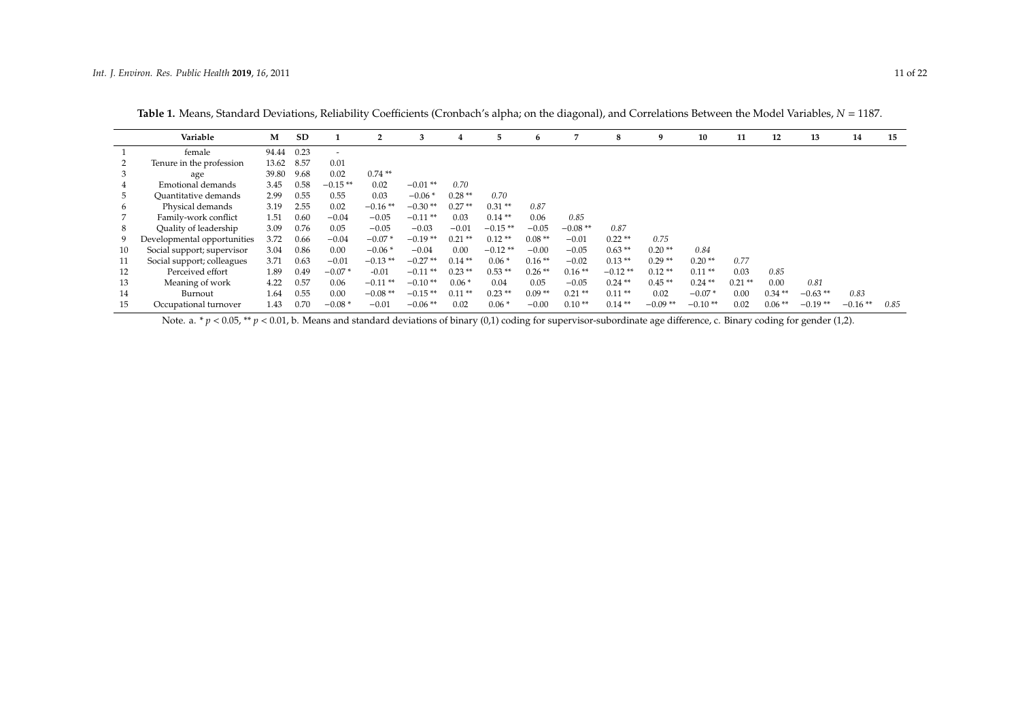|    | Variable                    | М     | <b>SD</b> |           |            | 3          | 4         | ь         | <sub>6</sub> | 7         | 8         | 9         | 10        | 11       | 12       | 13        | 14        | 15   |
|----|-----------------------------|-------|-----------|-----------|------------|------------|-----------|-----------|--------------|-----------|-----------|-----------|-----------|----------|----------|-----------|-----------|------|
|    | female                      | 94.44 | 0.23      |           |            |            |           |           |              |           |           |           |           |          |          |           |           |      |
|    | Tenure in the profession    | 13.62 | 8.57      | 0.01      |            |            |           |           |              |           |           |           |           |          |          |           |           |      |
| 3  | age                         | 39.80 | 9.68      | 0.02      | $0.74**$   |            |           |           |              |           |           |           |           |          |          |           |           |      |
| 4  | Emotional demands           | 3.45  | 0.58      | $-0.15**$ | 0.02       | $-0.01$ ** | 0.70      |           |              |           |           |           |           |          |          |           |           |      |
| 5  | Ouantitative demands        | 2.99  | 0.55      | 0.55      | 0.03       | $-0.06*$   | $0.28**$  | 0.70      |              |           |           |           |           |          |          |           |           |      |
| 6  | Physical demands            | 3.19  | 2.55      | 0.02      | $-0.16**$  | $-0.30**$  | $0.27**$  | $0.31**$  | 0.87         |           |           |           |           |          |          |           |           |      |
|    | Family-work conflict        | 1.51  | 0.60      | $-0.04$   | $-0.05$    | $-0.11$ ** | 0.03      | $0.14**$  | 0.06         | 0.85      |           |           |           |          |          |           |           |      |
| 8  | Quality of leadership       | 3.09  | 0.76      | 0.05      | $-0.05$    | $-0.03$    | $-0.01$   | $-0.15**$ | $-0.05$      | $-0.08**$ | 0.87      |           |           |          |          |           |           |      |
| 9  | Developmental opportunities | 3.72  | 0.66      | $-0.04$   | $-0.07*$   | $-0.19**$  | $0.21**$  | $0.12**$  | $0.08**$     | $-0.01$   | $0.22**$  | 0.75      |           |          |          |           |           |      |
| 10 | Social support; supervisor  | 3.04  | 0.86      | 0.00      | $-0.06*$   | $-0.04$    | 0.00      | $-0.12**$ | $-0.00$      | $-0.05$   | $0.63**$  | $0.20**$  | 0.84      |          |          |           |           |      |
| 11 | Social support; colleagues  | 3.71  | 0.63      | $-0.01$   | $-0.13$ ** | $-0.27**$  | $0.14**$  | $0.06*$   | $0.16**$     | $-0.02$   | $0.13**$  | $0.29**$  | $0.20**$  | 0.77     |          |           |           |      |
| 12 | Perceived effort            | 1.89  | 0.49      | $-0.07*$  | $-0.01$    | $-0.11**$  | $0.23$ ** | $0.53**$  | $0.26**$     | $0.16**$  | $-0.12**$ | $0.12**$  | $0.11**$  | 0.03     | 0.85     |           |           |      |
| 13 | Meaning of work             | 4.22  | 0.57      | 0.06      | $-0.11**$  | $-0.10**$  | $0.06*$   | 0.04      | 0.05         | $-0.05$   | $0.24$ ** | $0.45**$  | $0.24$ ** | $0.21**$ | 0.00     | 0.81      |           |      |
| 14 | Burnout                     | 1.64  | 0.55      | 0.00      | $-0.08**$  | $-0.15**$  | $0.11**$  | $0.23$ ** | $0.09**$     | $0.21**$  | $0.11**$  | 0.02      | $-0.07*$  | 0.00     | $0.34**$ | $-0.63**$ | 0.83      |      |
| 15 | Occupational turnover       | 1.43  | 0.70      | $-0.08*$  | $-0.01$    | $-0.06$ ** | 0.02      | $0.06*$   | $-0.00$      | $0.10**$  | $0.14**$  | $-0.09**$ | $-0.10**$ | 0.02     | $0.06**$ | $-0.19**$ | $-0.16**$ | 0.85 |

Table 1. Means, Standard Deviations, Reliability Coefficients (Cronbach's alpha; on the diagonal), and Correlations Between the Model Variables, *N* = 1187.

<span id="page-10-0"></span>Note. a. \*  $p$  < 0.05, \*\*  $p$  < 0.01, b. Means and standard deviations of binary (0,1) coding for supervisor-subordinate age difference, c. Binary coding for gender (1,2).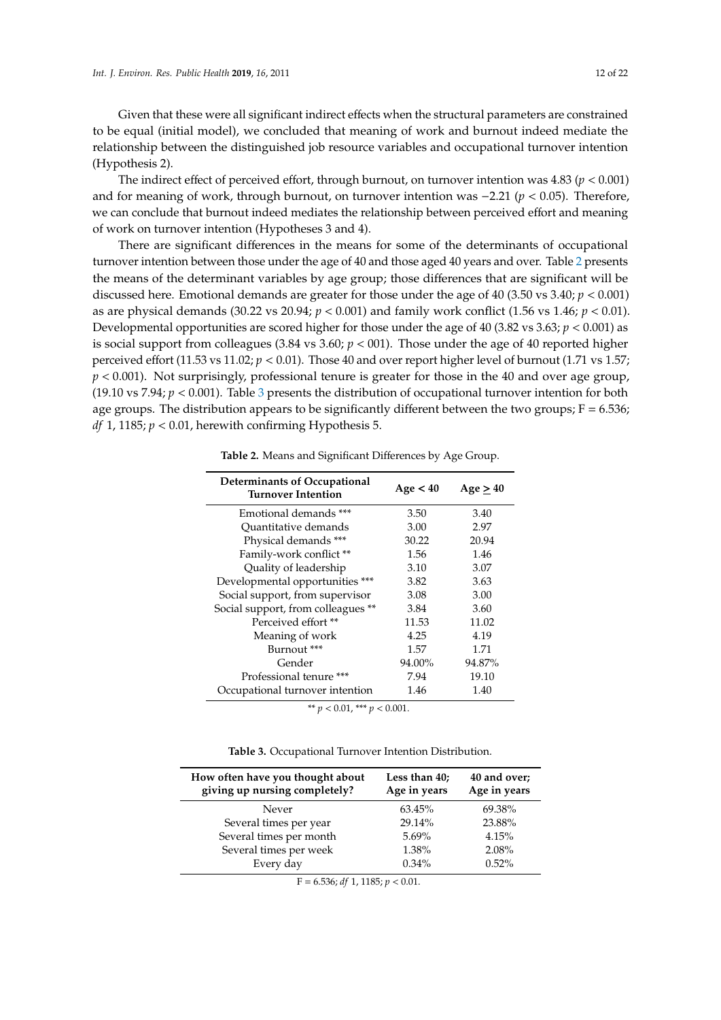Given that these were all significant indirect effects when the structural parameters are constrained to be equal (initial model), we concluded that meaning of work and burnout indeed mediate the relationship between the distinguished job resource variables and occupational turnover intention (Hypothesis 2).

The indirect effect of perceived effort, through burnout, on turnover intention was  $4.83 (p < 0.001)$ and for meaning of work, through burnout, on turnover intention was −2.21 (*p* < 0.05). Therefore, we can conclude that burnout indeed mediates the relationship between perceived effort and meaning of work on turnover intention (Hypotheses 3 and 4).

There are significant differences in the means for some of the determinants of occupational turnover intention between those under the age of 40 and those aged 40 years and over. Table [2](#page-11-0) presents the means of the determinant variables by age group; those differences that are significant will be discussed here. Emotional demands are greater for those under the age of 40 (3.50 vs 3.40; *p* < 0.001) as are physical demands (30.22 vs 20.94; *p* < 0.001) and family work conflict (1.56 vs 1.46; *p* < 0.01). Developmental opportunities are scored higher for those under the age of 40 (3.82 vs 3.63; *p* < 0.001) as is social support from colleagues (3.84 vs 3.60; *p* < 001). Those under the age of 40 reported higher perceived effort (11.53 vs 11.02; *p* < 0.01). Those 40 and over report higher level of burnout (1.71 vs 1.57;  $p < 0.001$ ). Not surprisingly, professional tenure is greater for those in the 40 and over age group, (19.10 vs 7.94; *p* < 0.001). Table [3](#page-11-1) presents the distribution of occupational turnover intention for both age groups. The distribution appears to be significantly different between the two groups;  $F = 6.536$ ; *df* 1, 1185; *p* < 0.01, herewith confirming Hypothesis 5.

<span id="page-11-0"></span>

| Determinants of Occupational<br><b>Turnover Intention</b> | Age $< 40$ | Age > 40 |  |  |
|-----------------------------------------------------------|------------|----------|--|--|
| Emotional demands ***                                     | 3.50       | 3.40     |  |  |
| Quantitative demands                                      | 3.00       | 2.97     |  |  |
| Physical demands ***                                      | 30.22      | 20.94    |  |  |
| Family-work conflict **                                   | 1.56       | 1.46     |  |  |
| Quality of leadership                                     | 3.10       | 3.07     |  |  |
| Developmental opportunities ***                           | 3.82       | 3.63     |  |  |
| Social support, from supervisor                           | 3.08       | 3.00     |  |  |
| Social support, from colleagues **                        | 3.84       | 3.60     |  |  |
| Perceived effort **                                       | 11.53      | 11.02    |  |  |
| Meaning of work                                           | 4.25       | 4.19     |  |  |
| Burnout <sup>***</sup>                                    | 1.57       | 1.71     |  |  |
| Gender                                                    | 94.00%     | 94.87%   |  |  |
| Professional tenure ***                                   | 7.94       | 19.10    |  |  |
| Occupational turnover intention                           | 1.46       | 1.40     |  |  |
| ** $p < 0.01$ , *** $p < 0.001$ .                         |            |          |  |  |

**Table 2.** Means and Significant Differences by Age Group.

**Table 3.** Occupational Turnover Intention Distribution.

<span id="page-11-1"></span>

| How often have you thought about<br>giving up nursing completely? | Less than 40;<br>Age in years | 40 and over;<br>Age in years |  |  |
|-------------------------------------------------------------------|-------------------------------|------------------------------|--|--|
| Never                                                             | 63.45%                        | 69.38%                       |  |  |
| Several times per year                                            | 29.14%                        | 23.88%                       |  |  |
| Several times per month                                           | 5.69%                         | 4.15%                        |  |  |
| Several times per week                                            | 1.38%                         | 2.08%                        |  |  |
| Every day                                                         | $0.34\%$                      | $0.52\%$                     |  |  |

F = 6.536; *df* 1, 1185; *p* < 0.01.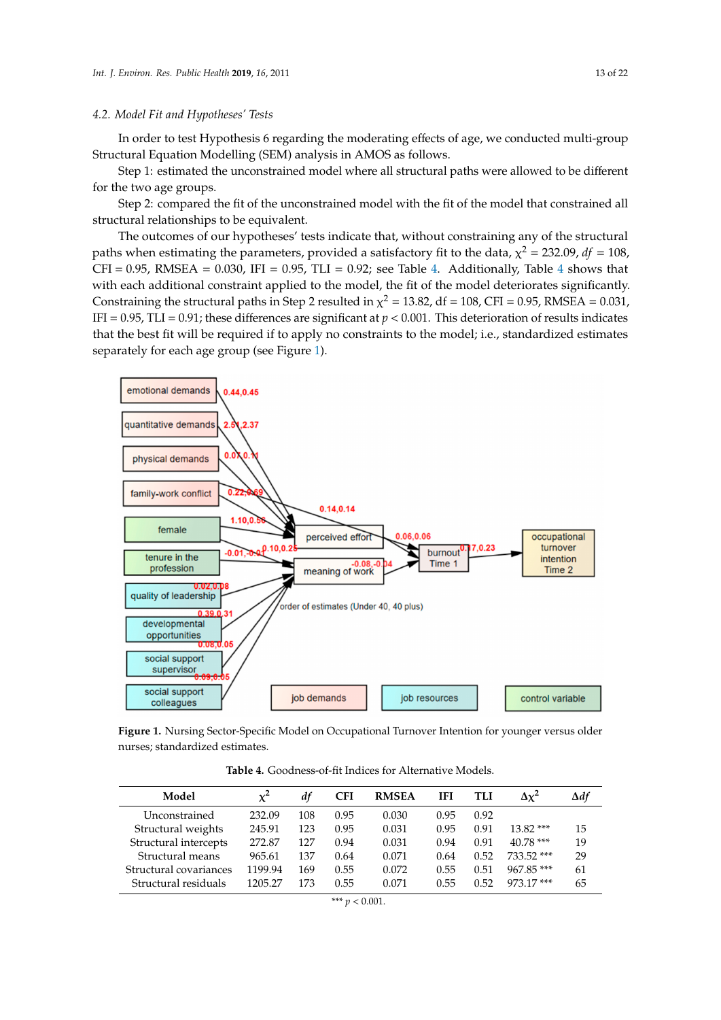### *4.2. Model Fit and Hypotheses' Tests*

In order to test Hypothesis 6 regarding the moderating effects of age, we conducted multi-group Structural Equation Modelling (SEM) analysis in AMOS as follows.<br>
The model multi-group of a generation of a generation of a generation of a generation of a generation of a ge

Step 1: estimated the unconstrained model where all structural paths were allowed to be different for the two age groups.  $\blacksquare$ 

Step 2: compared the fit of the unconstrained model with the fit of the model that constrained all structural relationships to be equivalent.  $\overline{\phantom{a}}$ 

The outcomes of our hypotheses' tests indicate that, without constraining any of the structural paths when estimating the parameters, provided a satisfactory fit to the data,  $\chi^2 = 232.09$ ,  $df = 108$ ,  $CFI = 0.95$ , RMSEA =  $0.030$ , IFI =  $0.95$ , TLI =  $0.92$ ; see Table [4.](#page-12-0) Additionally, Table [4](#page-12-0) shows that with each additional constraint applied to the model, the fit of the model deteriorates significantly. Constraining the structural paths in Step 2 resulted in  $\chi^2 = 13.82$ , df = 108, CFI = 0.95, RMSEA = 0.031, IFI = 0.95, TLI = 0.91; these differences are significant at  $p < 0.001$ . This deterioration of results indicates that the best fit will be required if to apply no constraints to the model; i.e., standardized estimates separately for each age group (see Figure [1\)](#page-12-1). age group (see Figure 1).  $\frac{1}{2}$  resulted in Step 2 resulted in  $\chi = 13.82$ , dr = 100, CFI = 0.95, RMSEA = 0.031, IFI = 0.95, TLI = 0.95, TLI = 0.95, TLI = 0.95, TLI = 0.95, TLI = 0.95, TLI = 0.95, TLI = 0.95, TLI = 0.95, TLI = 0.95, TLI = 0.95

<span id="page-12-1"></span>

**Figure 1.** Nursing Sector-Specific Model on Occupational Turnover Intention for younger versus older **Figure 1.** Nursing Sector-Specific Model on Occupational Turnover Intention for younger versus older nurses; standardized estimates. nurses; standardized estimates.

<span id="page-12-0"></span>

| Model                  | $x^2$   | df  | CFI  | <b>RMSEA</b> | IFI  | TLI  | $\Delta x^2$ | $\Delta df$ |
|------------------------|---------|-----|------|--------------|------|------|--------------|-------------|
| Unconstrained          | 232.09  | 108 | 0.95 | 0.030        | 0.95 | 0.92 |              |             |
| Structural weights     | 245.91  | 123 | 0.95 | 0.031        | 0.95 | 0.91 | $13.82***$   | 15          |
| Structural intercepts  | 272.87  | 127 | 0.94 | 0.031        | 0.94 | 0.91 | $40.78***$   | 19          |
| Structural means       | 965.61  | 137 | 0.64 | 0.071        | 0.64 | 0.52 | 733.52 ***   | 29          |
| Structural covariances | 1199.94 | 169 | 0.55 | 0.072        | 0.55 | 0.51 | $967.85***$  | 61          |
| Structural residuals   | 1205 27 | 173 | 0.55 | 0.071        | 0.55 | 0.52 | $973.17***$  | 65          |

**Table 4.** Goodness-of-fit Indices for Alternative Models.

\*\*\* *p* < 0.001.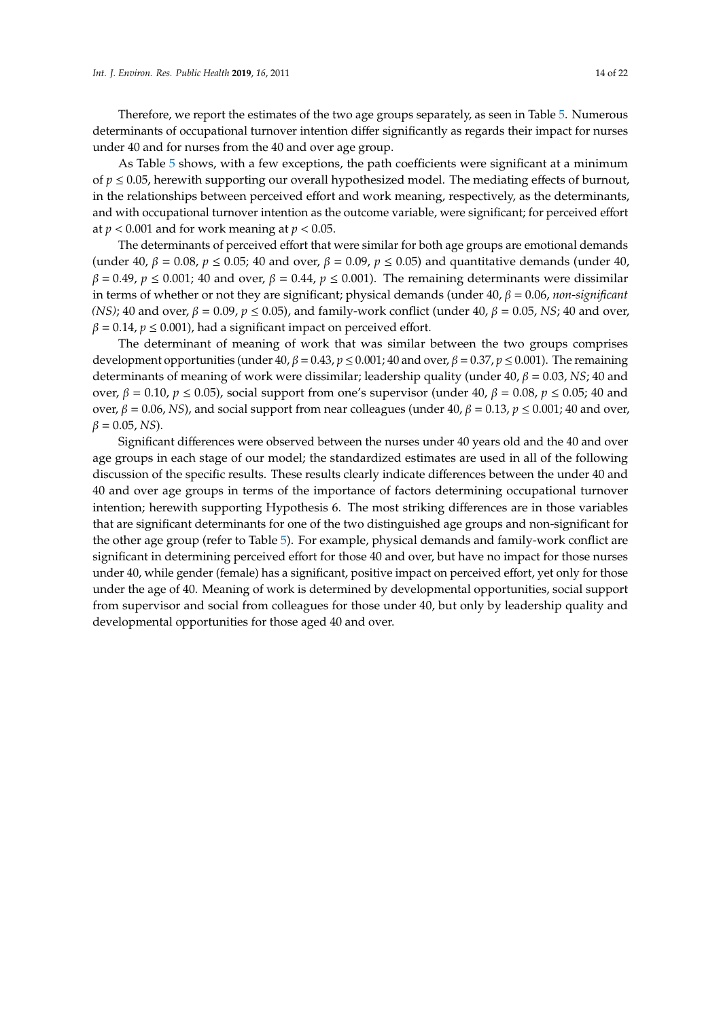Therefore, we report the estimates of the two age groups separately, as seen in Table [5.](#page-14-0) Numerous determinants of occupational turnover intention differ significantly as regards their impact for nurses under 40 and for nurses from the 40 and over age group.

As Table [5](#page-14-0) shows, with a few exceptions, the path coefficients were significant at a minimum of  $p \le 0.05$ , herewith supporting our overall hypothesized model. The mediating effects of burnout, in the relationships between perceived effort and work meaning, respectively, as the determinants, and with occupational turnover intention as the outcome variable, were significant; for perceived effort at  $p < 0.001$  and for work meaning at  $p < 0.05$ .

The determinants of perceived effort that were similar for both age groups are emotional demands (under 40,  $\beta = 0.08$ ,  $p \le 0.05$ ; 40 and over,  $\beta = 0.09$ ,  $p \le 0.05$ ) and quantitative demands (under 40,  $\beta$  = 0.49,  $p \le 0.001$ ; 40 and over,  $\beta$  = 0.44,  $p \le 0.001$ ). The remaining determinants were dissimilar in terms of whether or not they are significant; physical demands (under 40, β = 0.06, *non-significant (NS)*; 40 and over,  $\beta = 0.09$ ,  $p \le 0.05$ ), and family-work conflict (under 40,  $\beta = 0.05$ , *NS*; 40 and over,  $\beta = 0.14$ ,  $p \le 0.001$ ), had a significant impact on perceived effort.

The determinant of meaning of work that was similar between the two groups comprises development opportunities (under 40,  $\beta = 0.43$ ,  $p \le 0.001$ ; 40 and over,  $\beta = 0.37$ ,  $p \le 0.001$ ). The remaining determinants of meaning of work were dissimilar; leadership quality (under 40, β = 0.03, *NS*; 40 and over,  $β = 0.10$ ,  $p \le 0.05$ ), social support from one's supervisor (under 40,  $β = 0.08$ ,  $p \le 0.05$ ; 40 and over,  $β = 0.06$ , *NS*), and social support from near colleagues (under 40,  $β = 0.13$ ,  $p ≤ 0.001$ ; 40 and over,  $\beta = 0.05$ , *NS*).

Significant differences were observed between the nurses under 40 years old and the 40 and over age groups in each stage of our model; the standardized estimates are used in all of the following discussion of the specific results. These results clearly indicate differences between the under 40 and 40 and over age groups in terms of the importance of factors determining occupational turnover intention; herewith supporting Hypothesis 6. The most striking differences are in those variables that are significant determinants for one of the two distinguished age groups and non-significant for the other age group (refer to Table [5\)](#page-14-0). For example, physical demands and family-work conflict are significant in determining perceived effort for those 40 and over, but have no impact for those nurses under 40, while gender (female) has a significant, positive impact on perceived effort, yet only for those under the age of 40. Meaning of work is determined by developmental opportunities, social support from supervisor and social from colleagues for those under 40, but only by leadership quality and developmental opportunities for those aged 40 and over.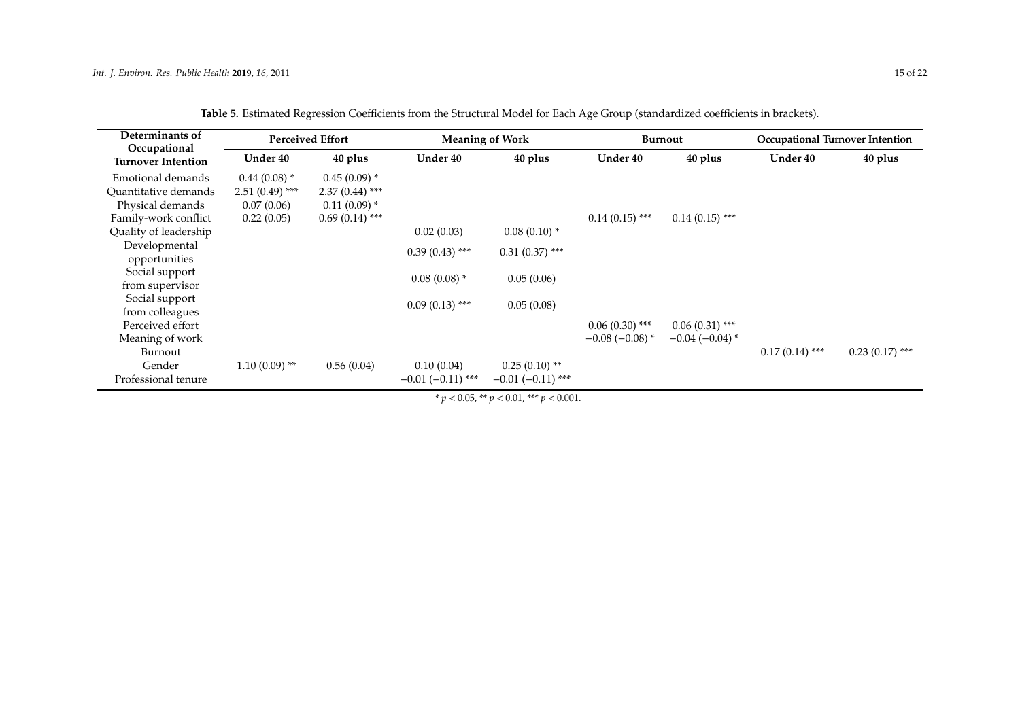<span id="page-14-0"></span>

| Determinants of<br>Occupational |                  | <b>Perceived Effort</b> |                         | <b>Meaning of Work</b>  |                  | <b>Burnout</b>   | Occupational Turnover Intention |                  |  |
|---------------------------------|------------------|-------------------------|-------------------------|-------------------------|------------------|------------------|---------------------------------|------------------|--|
| Turnover Intention              | Under 40         | 40 plus                 | Under 40                | 40 plus                 | Under 40         | 40 plus          | Under 40                        | 40 plus          |  |
| Emotional demands               | $0.44(0.08)$ *   | $0.45(0.09)$ *          |                         |                         |                  |                  |                                 |                  |  |
| Quantitative demands            | $2.51(0.49)$ *** | $2.37(0.44)$ ***        |                         |                         |                  |                  |                                 |                  |  |
| Physical demands                | 0.07(0.06)       | $0.11(0.09)$ *          |                         |                         |                  |                  |                                 |                  |  |
| Family-work conflict            | 0.22(0.05)       | $0.69(0.14)$ ***        |                         |                         | $0.14(0.15)$ *** | $0.14(0.15)$ *** |                                 |                  |  |
| Quality of leadership           |                  |                         | 0.02(0.03)              | $0.08(0.10)$ *          |                  |                  |                                 |                  |  |
| Developmental                   |                  |                         | $0.39(0.43)$ ***        | $0.31(0.37)$ ***        |                  |                  |                                 |                  |  |
| opportunities                   |                  |                         |                         |                         |                  |                  |                                 |                  |  |
| Social support                  |                  |                         | $0.08(0.08)$ *          | 0.05(0.06)              |                  |                  |                                 |                  |  |
| from supervisor                 |                  |                         |                         |                         |                  |                  |                                 |                  |  |
| Social support                  |                  |                         | $0.09(0.13)$ ***        | 0.05(0.08)              |                  |                  |                                 |                  |  |
| from colleagues                 |                  |                         |                         |                         |                  |                  |                                 |                  |  |
| Perceived effort                |                  |                         |                         |                         | $0.06(0.30)$ *** | $0.06(0.31)$ *** |                                 |                  |  |
| Meaning of work                 |                  |                         |                         |                         | $-0.08(-0.08)$ * | $-0.04(-0.04)$ * |                                 |                  |  |
| Burnout                         |                  |                         |                         |                         |                  |                  | $0.17(0.14)$ ***                | $0.23(0.17)$ *** |  |
| Gender                          | $1.10(0.09)$ **  | 0.56(0.04)              | 0.10(0.04)              | $0.25(0.10)$ **         |                  |                  |                                 |                  |  |
| Professional tenure             |                  |                         | $-0.01$ ( $-0.11$ ) *** | $-0.01$ ( $-0.11$ ) *** |                  |                  |                                 |                  |  |

**Table 5.** Estimated Regression Coefficients from the Structural Model for Each Age Group (standardized coefficients in brackets).

 $* p < 0.05, ** p < 0.01, *** p < 0.001.$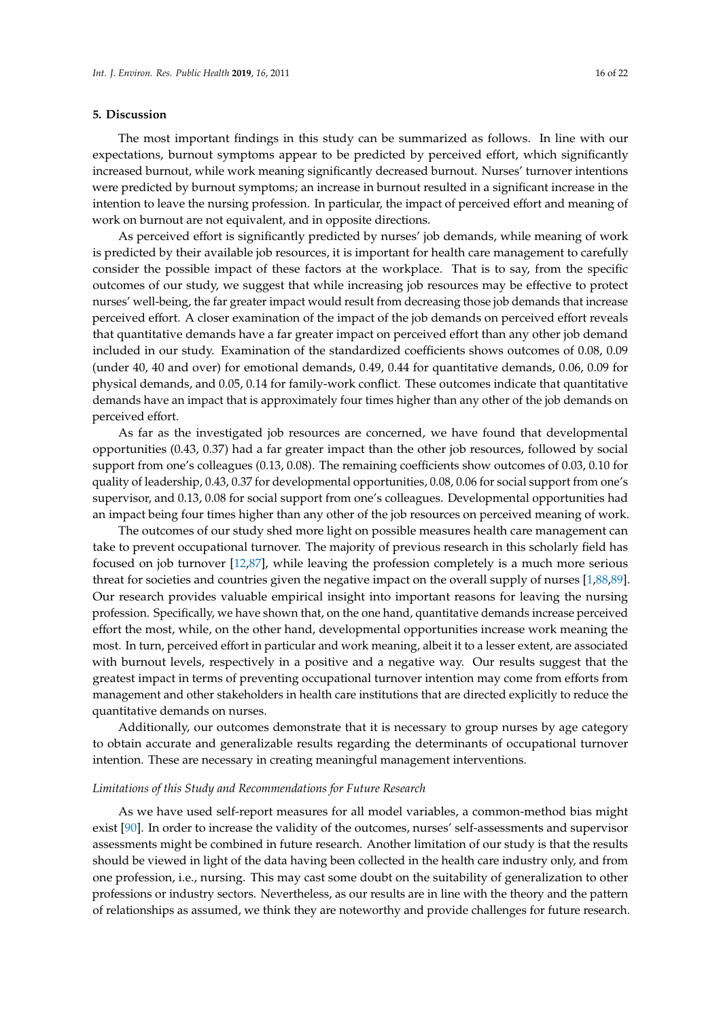## **5. Discussion**

The most important findings in this study can be summarized as follows. In line with our expectations, burnout symptoms appear to be predicted by perceived effort, which significantly increased burnout, while work meaning significantly decreased burnout. Nurses' turnover intentions were predicted by burnout symptoms; an increase in burnout resulted in a significant increase in the intention to leave the nursing profession. In particular, the impact of perceived effort and meaning of work on burnout are not equivalent, and in opposite directions.

As perceived effort is significantly predicted by nurses' job demands, while meaning of work is predicted by their available job resources, it is important for health care management to carefully consider the possible impact of these factors at the workplace. That is to say, from the specific outcomes of our study, we suggest that while increasing job resources may be effective to protect nurses' well-being, the far greater impact would result from decreasing those job demands that increase perceived effort. A closer examination of the impact of the job demands on perceived effort reveals that quantitative demands have a far greater impact on perceived effort than any other job demand included in our study. Examination of the standardized coefficients shows outcomes of 0.08, 0.09 (under 40, 40 and over) for emotional demands, 0.49, 0.44 for quantitative demands, 0.06, 0.09 for physical demands, and 0.05, 0.14 for family-work conflict. These outcomes indicate that quantitative demands have an impact that is approximately four times higher than any other of the job demands on perceived effort.

As far as the investigated job resources are concerned, we have found that developmental opportunities (0.43, 0.37) had a far greater impact than the other job resources, followed by social support from one's colleagues (0.13, 0.08). The remaining coefficients show outcomes of 0.03, 0.10 for quality of leadership, 0.43, 0.37 for developmental opportunities, 0.08, 0.06 for social support from one's supervisor, and 0.13, 0.08 for social support from one's colleagues. Developmental opportunities had an impact being four times higher than any other of the job resources on perceived meaning of work.

The outcomes of our study shed more light on possible measures health care management can take to prevent occupational turnover. The majority of previous research in this scholarly field has focused on job turnover [\[12](#page-17-9)[,87\]](#page-20-18), while leaving the profession completely is a much more serious threat for societies and countries given the negative impact on the overall supply of nurses [\[1,](#page-17-0)[88,](#page-20-19)[89\]](#page-20-20). Our research provides valuable empirical insight into important reasons for leaving the nursing profession. Specifically, we have shown that, on the one hand, quantitative demands increase perceived effort the most, while, on the other hand, developmental opportunities increase work meaning the most. In turn, perceived effort in particular and work meaning, albeit it to a lesser extent, are associated with burnout levels, respectively in a positive and a negative way. Our results suggest that the greatest impact in terms of preventing occupational turnover intention may come from efforts from management and other stakeholders in health care institutions that are directed explicitly to reduce the quantitative demands on nurses.

Additionally, our outcomes demonstrate that it is necessary to group nurses by age category to obtain accurate and generalizable results regarding the determinants of occupational turnover intention. These are necessary in creating meaningful management interventions.

# *Limitations of this Study and Recommendations for Future Research*

As we have used self-report measures for all model variables, a common-method bias might exist [\[90\]](#page-20-21). In order to increase the validity of the outcomes, nurses' self-assessments and supervisor assessments might be combined in future research. Another limitation of our study is that the results should be viewed in light of the data having been collected in the health care industry only, and from one profession, i.e., nursing. This may cast some doubt on the suitability of generalization to other professions or industry sectors. Nevertheless, as our results are in line with the theory and the pattern of relationships as assumed, we think they are noteworthy and provide challenges for future research.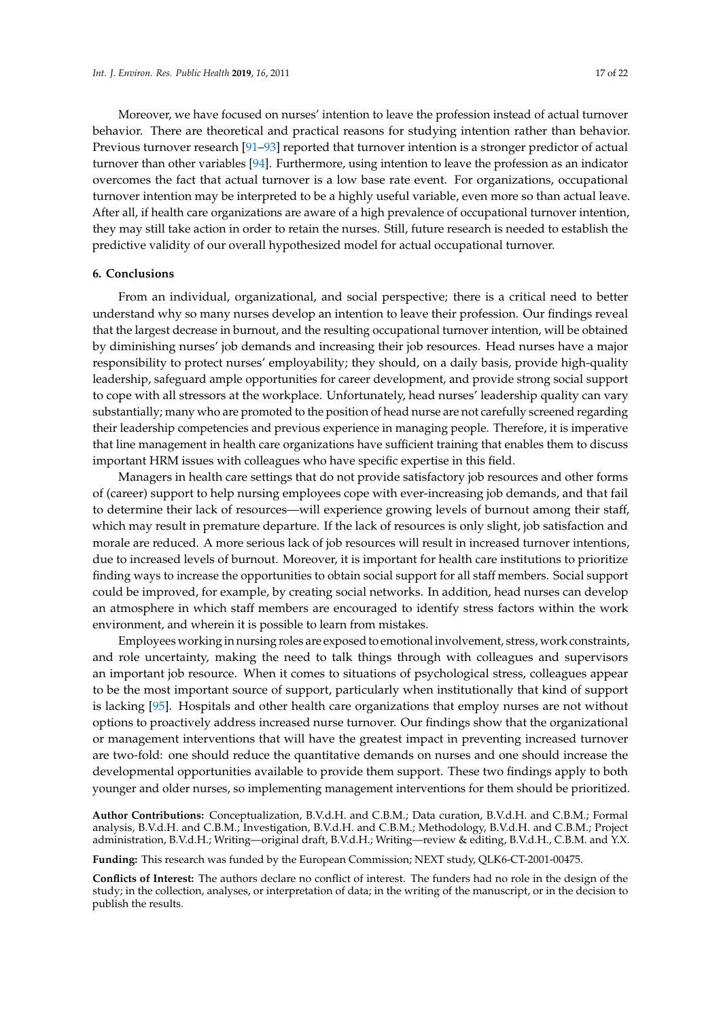Moreover, we have focused on nurses' intention to leave the profession instead of actual turnover behavior. There are theoretical and practical reasons for studying intention rather than behavior. Previous turnover research [\[91](#page-21-0)[–93\]](#page-21-1) reported that turnover intention is a stronger predictor of actual turnover than other variables [\[94\]](#page-21-2). Furthermore, using intention to leave the profession as an indicator

overcomes the fact that actual turnover is a low base rate event. For organizations, occupational turnover intention may be interpreted to be a highly useful variable, even more so than actual leave. After all, if health care organizations are aware of a high prevalence of occupational turnover intention, they may still take action in order to retain the nurses. Still, future research is needed to establish the predictive validity of our overall hypothesized model for actual occupational turnover.

#### **6. Conclusions**

From an individual, organizational, and social perspective; there is a critical need to better understand why so many nurses develop an intention to leave their profession. Our findings reveal that the largest decrease in burnout, and the resulting occupational turnover intention, will be obtained by diminishing nurses' job demands and increasing their job resources. Head nurses have a major responsibility to protect nurses' employability; they should, on a daily basis, provide high-quality leadership, safeguard ample opportunities for career development, and provide strong social support to cope with all stressors at the workplace. Unfortunately, head nurses' leadership quality can vary substantially; many who are promoted to the position of head nurse are not carefully screened regarding their leadership competencies and previous experience in managing people. Therefore, it is imperative that line management in health care organizations have sufficient training that enables them to discuss important HRM issues with colleagues who have specific expertise in this field.

Managers in health care settings that do not provide satisfactory job resources and other forms of (career) support to help nursing employees cope with ever-increasing job demands, and that fail to determine their lack of resources—will experience growing levels of burnout among their staff, which may result in premature departure. If the lack of resources is only slight, job satisfaction and morale are reduced. A more serious lack of job resources will result in increased turnover intentions, due to increased levels of burnout. Moreover, it is important for health care institutions to prioritize finding ways to increase the opportunities to obtain social support for all staff members. Social support could be improved, for example, by creating social networks. In addition, head nurses can develop an atmosphere in which staff members are encouraged to identify stress factors within the work environment, and wherein it is possible to learn from mistakes.

Employees working in nursing roles are exposed to emotional involvement, stress, work constraints, and role uncertainty, making the need to talk things through with colleagues and supervisors an important job resource. When it comes to situations of psychological stress, colleagues appear to be the most important source of support, particularly when institutionally that kind of support is lacking [\[95\]](#page-21-3). Hospitals and other health care organizations that employ nurses are not without options to proactively address increased nurse turnover. Our findings show that the organizational or management interventions that will have the greatest impact in preventing increased turnover are two-fold: one should reduce the quantitative demands on nurses and one should increase the developmental opportunities available to provide them support. These two findings apply to both younger and older nurses, so implementing management interventions for them should be prioritized.

**Author Contributions:** Conceptualization, B.V.d.H. and C.B.M.; Data curation, B.V.d.H. and C.B.M.; Formal analysis, B.V.d.H. and C.B.M.; Investigation, B.V.d.H. and C.B.M.; Methodology, B.V.d.H. and C.B.M.; Project administration, B.V.d.H.; Writing—original draft, B.V.d.H.; Writing—review & editing, B.V.d.H., C.B.M. and Y.X.

**Funding:** This research was funded by the European Commission; NEXT study, QLK6-CT-2001-00475.

**Conflicts of Interest:** The authors declare no conflict of interest. The funders had no role in the design of the study; in the collection, analyses, or interpretation of data; in the writing of the manuscript, or in the decision to publish the results.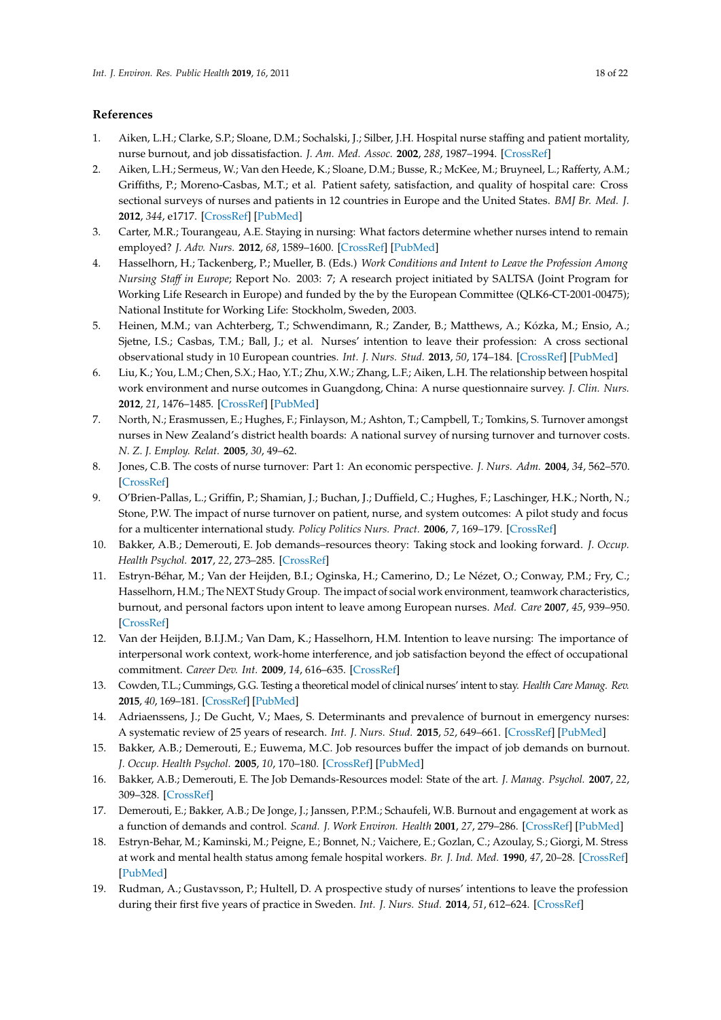# **References**

- <span id="page-17-0"></span>1. Aiken, L.H.; Clarke, S.P.; Sloane, D.M.; Sochalski, J.; Silber, J.H. Hospital nurse staffing and patient mortality, nurse burnout, and job dissatisfaction. *J. Am. Med. Assoc.* **2002**, *288*, 1987–1994. [\[CrossRef\]](http://dx.doi.org/10.1001/jama.288.16.1987)
- 2. Aiken, L.H.; Sermeus, W.; Van den Heede, K.; Sloane, D.M.; Busse, R.; McKee, M.; Bruyneel, L.; Rafferty, A.M.; Griffiths, P.; Moreno-Casbas, M.T.; et al. Patient safety, satisfaction, and quality of hospital care: Cross sectional surveys of nurses and patients in 12 countries in Europe and the United States. *BMJ Br. Med. J.* **2012**, *344*, e1717. [\[CrossRef\]](http://dx.doi.org/10.1136/bmj.e1717) [\[PubMed\]](http://www.ncbi.nlm.nih.gov/pubmed/22434089)
- 3. Carter, M.R.; Tourangeau, A.E. Staying in nursing: What factors determine whether nurses intend to remain employed? *J. Adv. Nurs.* **2012**, *68*, 1589–1600. [\[CrossRef\]](http://dx.doi.org/10.1111/j.1365-2648.2012.05973.x) [\[PubMed\]](http://www.ncbi.nlm.nih.gov/pubmed/22458811)
- <span id="page-17-2"></span>4. Hasselhorn, H.; Tackenberg, P.; Mueller, B. (Eds.) *Work Conditions and Intent to Leave the Profession Among Nursing Sta*ff *in Europe*; Report No. 2003: 7; A research project initiated by SALTSA (Joint Program for Working Life Research in Europe) and funded by the by the European Committee (QLK6-CT-2001-00475); National Institute for Working Life: Stockholm, Sweden, 2003.
- <span id="page-17-1"></span>5. Heinen, M.M.; van Achterberg, T.; Schwendimann, R.; Zander, B.; Matthews, A.; Kózka, M.; Ensio, A.; Sjetne, I.S.; Casbas, T.M.; Ball, J.; et al. Nurses' intention to leave their profession: A cross sectional observational study in 10 European countries. *Int. J. Nurs. Stud.* **2013**, *50*, 174–184. [\[CrossRef\]](http://dx.doi.org/10.1016/j.ijnurstu.2012.09.019) [\[PubMed\]](http://www.ncbi.nlm.nih.gov/pubmed/23107005)
- <span id="page-17-3"></span>6. Liu, K.; You, L.M.; Chen, S.X.; Hao, Y.T.; Zhu, X.W.; Zhang, L.F.; Aiken, L.H. The relationship between hospital work environment and nurse outcomes in Guangdong, China: A nurse questionnaire survey. *J. Clin. Nurs.* **2012**, *21*, 1476–1485. [\[CrossRef\]](http://dx.doi.org/10.1111/j.1365-2702.2011.03991.x) [\[PubMed\]](http://www.ncbi.nlm.nih.gov/pubmed/22380003)
- <span id="page-17-4"></span>7. North, N.; Erasmussen, E.; Hughes, F.; Finlayson, M.; Ashton, T.; Campbell, T.; Tomkins, S. Turnover amongst nurses in New Zealand's district health boards: A national survey of nursing turnover and turnover costs. *N. Z. J. Employ. Relat.* **2005**, *30*, 49–62.
- <span id="page-17-5"></span>8. Jones, C.B. The costs of nurse turnover: Part 1: An economic perspective. *J. Nurs. Adm.* **2004**, *34*, 562–570. [\[CrossRef\]](http://dx.doi.org/10.1097/00005110-200412000-00006)
- <span id="page-17-6"></span>9. O'Brien-Pallas, L.; Griffin, P.; Shamian, J.; Buchan, J.; Duffield, C.; Hughes, F.; Laschinger, H.K.; North, N.; Stone, P.W. The impact of nurse turnover on patient, nurse, and system outcomes: A pilot study and focus for a multicenter international study. *Policy Politics Nurs. Pract.* **2006**, *7*, 169–179. [\[CrossRef\]](http://dx.doi.org/10.1177/1527154406291936)
- <span id="page-17-7"></span>10. Bakker, A.B.; Demerouti, E. Job demands–resources theory: Taking stock and looking forward. *J. Occup. Health Psychol.* **2017**, *22*, 273–285. [\[CrossRef\]](http://dx.doi.org/10.1037/ocp0000056)
- <span id="page-17-8"></span>11. Estryn-Béhar, M.; Van der Heijden, B.I.; Oginska, H.; Camerino, D.; Le Nézet, O.; Conway, P.M.; Fry, C.; Hasselhorn, H.M.; The NEXT Study Group. The impact of social work environment, teamwork characteristics, burnout, and personal factors upon intent to leave among European nurses. *Med. Care* **2007**, *45*, 939–950. [\[CrossRef\]](http://dx.doi.org/10.1097/MLR.0b013e31806728d8)
- <span id="page-17-9"></span>12. Van der Heijden, B.I.J.M.; Van Dam, K.; Hasselhorn, H.M. Intention to leave nursing: The importance of interpersonal work context, work-home interference, and job satisfaction beyond the effect of occupational commitment. *Career Dev. Int.* **2009**, *14*, 616–635. [\[CrossRef\]](http://dx.doi.org/10.1108/13620430911005681)
- <span id="page-17-10"></span>13. Cowden, T.L.; Cummings, G.G. Testing a theoretical model of clinical nurses' intent to stay. *Health Care Manag. Rev.* **2015**, *40*, 169–181. [\[CrossRef\]](http://dx.doi.org/10.1097/HMR.0000000000000008) [\[PubMed\]](http://www.ncbi.nlm.nih.gov/pubmed/24566247)
- <span id="page-17-11"></span>14. Adriaenssens, J.; De Gucht, V.; Maes, S. Determinants and prevalence of burnout in emergency nurses: A systematic review of 25 years of research. *Int. J. Nurs. Stud.* **2015**, *52*, 649–661. [\[CrossRef\]](http://dx.doi.org/10.1016/j.ijnurstu.2014.11.004) [\[PubMed\]](http://www.ncbi.nlm.nih.gov/pubmed/25468279)
- <span id="page-17-12"></span>15. Bakker, A.B.; Demerouti, E.; Euwema, M.C. Job resources buffer the impact of job demands on burnout. *J. Occup. Health Psychol.* **2005**, *10*, 170–180. [\[CrossRef\]](http://dx.doi.org/10.1037/1076-8998.10.2.170) [\[PubMed\]](http://www.ncbi.nlm.nih.gov/pubmed/15826226)
- <span id="page-17-13"></span>16. Bakker, A.B.; Demerouti, E. The Job Demands-Resources model: State of the art. *J. Manag. Psychol.* **2007**, *22*, 309–328. [\[CrossRef\]](http://dx.doi.org/10.1108/02683940710733115)
- <span id="page-17-14"></span>17. Demerouti, E.; Bakker, A.B.; De Jonge, J.; Janssen, P.P.M.; Schaufeli, W.B. Burnout and engagement at work as a function of demands and control. *Scand. J. Work Environ. Health* **2001**, *27*, 279–286. [\[CrossRef\]](http://dx.doi.org/10.5271/sjweh.615) [\[PubMed\]](http://www.ncbi.nlm.nih.gov/pubmed/11560342)
- <span id="page-17-15"></span>18. Estryn-Behar, M.; Kaminski, M.; Peigne, E.; Bonnet, N.; Vaichere, E.; Gozlan, C.; Azoulay, S.; Giorgi, M. Stress at work and mental health status among female hospital workers. *Br. J. Ind. Med.* **1990**, *47*, 20–28. [\[CrossRef\]](http://dx.doi.org/10.1136/oem.47.1.20) [\[PubMed\]](http://www.ncbi.nlm.nih.gov/pubmed/2310704)
- <span id="page-17-16"></span>19. Rudman, A.; Gustavsson, P.; Hultell, D. A prospective study of nurses' intentions to leave the profession during their first five years of practice in Sweden. *Int. J. Nurs. Stud.* **2014**, *51*, 612–624. [\[CrossRef\]](http://dx.doi.org/10.1016/j.ijnurstu.2013.09.012)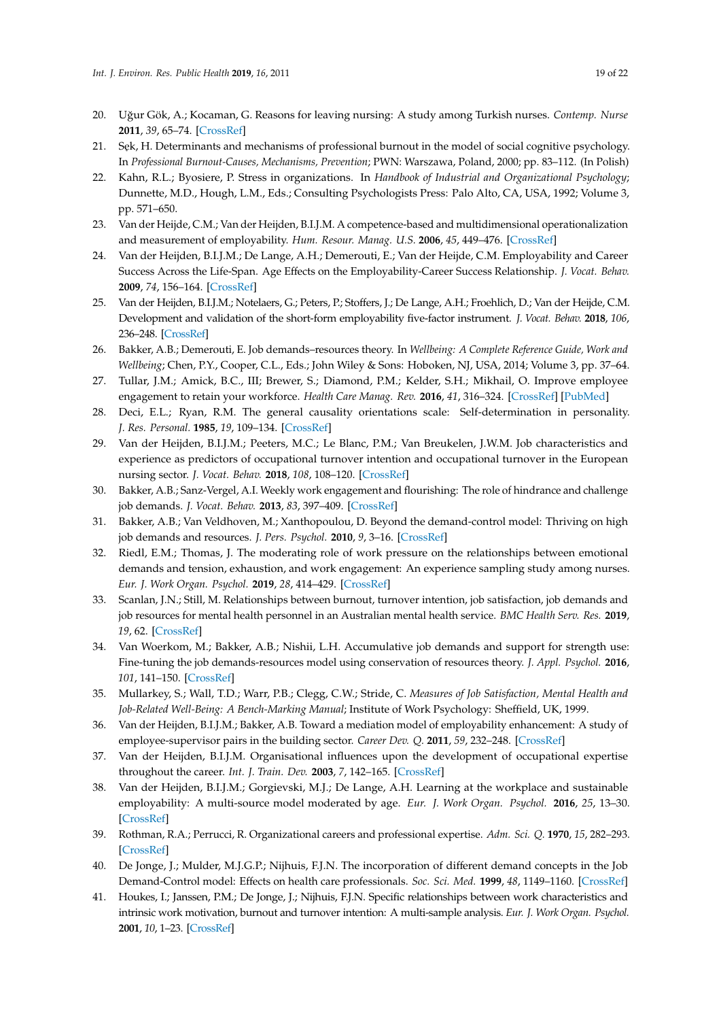- <span id="page-18-0"></span>20. Uğur Gök, A.; Kocaman, G. Reasons for leaving nursing: A study among Turkish nurses. *Contemp. Nurse* **2011**, *39*, 65–74. [\[CrossRef\]](http://dx.doi.org/10.5172/conu.2011.39.1.65)
- <span id="page-18-1"></span>21. Sek, H. Determinants and mechanisms of professional burnout in the model of social cognitive psychology. In *Professional Burnout-Causes, Mechanisms, Prevention*; PWN: Warszawa, Poland, 2000; pp. 83–112. (In Polish)
- <span id="page-18-2"></span>22. Kahn, R.L.; Byosiere, P. Stress in organizations. In *Handbook of Industrial and Organizational Psychology*; Dunnette, M.D., Hough, L.M., Eds.; Consulting Psychologists Press: Palo Alto, CA, USA, 1992; Volume 3, pp. 571–650.
- <span id="page-18-3"></span>23. Van der Heijde, C.M.; Van der Heijden, B.I.J.M. A competence-based and multidimensional operationalization and measurement of employability. *Hum. Resour. Manag. U.S.* **2006**, *45*, 449–476. [\[CrossRef\]](http://dx.doi.org/10.1002/hrm.20119)
- 24. Van der Heijden, B.I.J.M.; De Lange, A.H.; Demerouti, E.; Van der Heijde, C.M. Employability and Career Success Across the Life-Span. Age Effects on the Employability-Career Success Relationship. *J. Vocat. Behav.* **2009**, *74*, 156–164. [\[CrossRef\]](http://dx.doi.org/10.1016/j.jvb.2008.12.009)
- <span id="page-18-4"></span>25. Van der Heijden, B.I.J.M.; Notelaers, G.; Peters, P.; Stoffers, J.; De Lange, A.H.; Froehlich, D.; Van der Heijde, C.M. Development and validation of the short-form employability five-factor instrument. *J. Vocat. Behav.* **2018**, *106*, 236–248. [\[CrossRef\]](http://dx.doi.org/10.1016/j.jvb.2018.02.003)
- <span id="page-18-5"></span>26. Bakker, A.B.; Demerouti, E. Job demands–resources theory. In *Wellbeing: A Complete Reference Guide, Work and Wellbeing*; Chen, P.Y., Cooper, C.L., Eds.; John Wiley & Sons: Hoboken, NJ, USA, 2014; Volume 3, pp. 37–64.
- <span id="page-18-6"></span>27. Tullar, J.M.; Amick, B.C., III; Brewer, S.; Diamond, P.M.; Kelder, S.H.; Mikhail, O. Improve employee engagement to retain your workforce. *Health Care Manag. Rev.* **2016**, *41*, 316–324. [\[CrossRef\]](http://dx.doi.org/10.1097/HMR.0000000000000079) [\[PubMed\]](http://www.ncbi.nlm.nih.gov/pubmed/26207655)
- <span id="page-18-7"></span>28. Deci, E.L.; Ryan, R.M. The general causality orientations scale: Self-determination in personality. *J. Res. Personal.* **1985**, *19*, 109–134. [\[CrossRef\]](http://dx.doi.org/10.1016/0092-6566(85)90023-6)
- <span id="page-18-8"></span>29. Van der Heijden, B.I.J.M.; Peeters, M.C.; Le Blanc, P.M.; Van Breukelen, J.W.M. Job characteristics and experience as predictors of occupational turnover intention and occupational turnover in the European nursing sector. *J. Vocat. Behav.* **2018**, *108*, 108–120. [\[CrossRef\]](http://dx.doi.org/10.1016/j.jvb.2018.06.008)
- <span id="page-18-9"></span>30. Bakker, A.B.; Sanz-Vergel, A.I. Weekly work engagement and flourishing: The role of hindrance and challenge job demands. *J. Vocat. Behav.* **2013**, *83*, 397–409. [\[CrossRef\]](http://dx.doi.org/10.1016/j.jvb.2013.06.008)
- 31. Bakker, A.B.; Van Veldhoven, M.; Xanthopoulou, D. Beyond the demand-control model: Thriving on high job demands and resources. *J. Pers. Psychol.* **2010**, *9*, 3–16. [\[CrossRef\]](http://dx.doi.org/10.1027/1866-5888/a000006)
- <span id="page-18-17"></span>32. Riedl, E.M.; Thomas, J. The moderating role of work pressure on the relationships between emotional demands and tension, exhaustion, and work engagement: An experience sampling study among nurses. *Eur. J. Work Organ. Psychol.* **2019**, *28*, 414–429. [\[CrossRef\]](http://dx.doi.org/10.1080/1359432X.2019.1588251)
- 33. Scanlan, J.N.; Still, M. Relationships between burnout, turnover intention, job satisfaction, job demands and job resources for mental health personnel in an Australian mental health service. *BMC Health Serv. Res.* **2019**, *19*, 62. [\[CrossRef\]](http://dx.doi.org/10.1186/s12913-018-3841-z)
- <span id="page-18-10"></span>34. Van Woerkom, M.; Bakker, A.B.; Nishii, L.H. Accumulative job demands and support for strength use: Fine-tuning the job demands-resources model using conservation of resources theory. *J. Appl. Psychol.* **2016**, *101*, 141–150. [\[CrossRef\]](http://dx.doi.org/10.1037/apl0000033)
- <span id="page-18-11"></span>35. Mullarkey, S.; Wall, T.D.; Warr, P.B.; Clegg, C.W.; Stride, C. *Measures of Job Satisfaction, Mental Health and Job-Related Well-Being: A Bench-Marking Manual*; Institute of Work Psychology: Sheffield, UK, 1999.
- <span id="page-18-12"></span>36. Van der Heijden, B.I.J.M.; Bakker, A.B. Toward a mediation model of employability enhancement: A study of employee-supervisor pairs in the building sector. *Career Dev. Q.* **2011**, *59*, 232–248. [\[CrossRef\]](http://dx.doi.org/10.1002/j.2161-0045.2011.tb00066.x)
- <span id="page-18-18"></span>37. Van der Heijden, B.I.J.M. Organisational influences upon the development of occupational expertise throughout the career. *Int. J. Train. Dev.* **2003**, *7*, 142–165. [\[CrossRef\]](http://dx.doi.org/10.1111/1468-2419.00178)
- <span id="page-18-13"></span>38. Van der Heijden, B.I.J.M.; Gorgievski, M.J.; De Lange, A.H. Learning at the workplace and sustainable employability: A multi-source model moderated by age. *Eur. J. Work Organ. Psychol.* **2016**, *25*, 13–30. [\[CrossRef\]](http://dx.doi.org/10.1080/1359432X.2015.1007130)
- <span id="page-18-14"></span>39. Rothman, R.A.; Perrucci, R. Organizational careers and professional expertise. *Adm. Sci. Q.* **1970**, *15*, 282–293. [\[CrossRef\]](http://dx.doi.org/10.2307/2391617)
- <span id="page-18-15"></span>40. De Jonge, J.; Mulder, M.J.G.P.; Nijhuis, F.J.N. The incorporation of different demand concepts in the Job Demand-Control model: Effects on health care professionals. *Soc. Sci. Med.* **1999**, *48*, 1149–1160. [\[CrossRef\]](http://dx.doi.org/10.1016/S0277-9536(98)00429-8)
- <span id="page-18-16"></span>41. Houkes, I.; Janssen, P.M.; De Jonge, J.; Nijhuis, F.J.N. Specific relationships between work characteristics and intrinsic work motivation, burnout and turnover intention: A multi-sample analysis. *Eur. J. Work Organ. Psychol.* **2001**, *10*, 1–23. [\[CrossRef\]](http://dx.doi.org/10.1080/13594320042000007)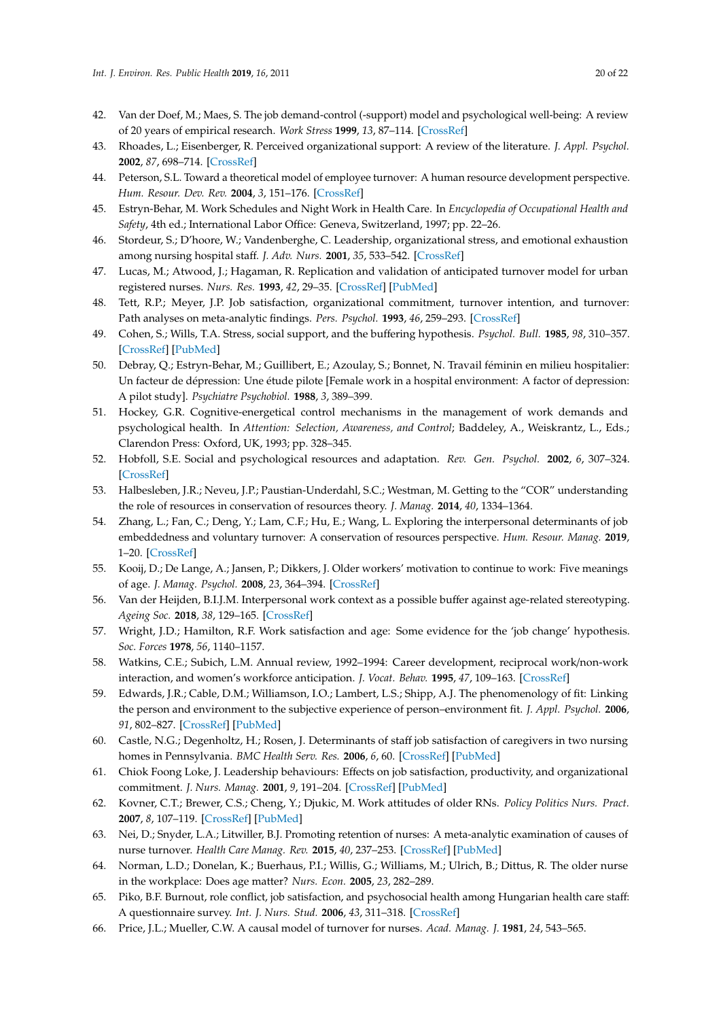- <span id="page-19-0"></span>42. Van der Doef, M.; Maes, S. The job demand-control (-support) model and psychological well-being: A review of 20 years of empirical research. *Work Stress* **1999**, *13*, 87–114. [\[CrossRef\]](http://dx.doi.org/10.1080/026783799296084)
- <span id="page-19-1"></span>43. Rhoades, L.; Eisenberger, R. Perceived organizational support: A review of the literature. *J. Appl. Psychol.* **2002**, *87*, 698–714. [\[CrossRef\]](http://dx.doi.org/10.1037/0021-9010.87.4.698)
- <span id="page-19-2"></span>44. Peterson, S.L. Toward a theoretical model of employee turnover: A human resource development perspective. *Hum. Resour. Dev. Rev.* **2004**, *3*, 151–176. [\[CrossRef\]](http://dx.doi.org/10.1177/1534484304267832)
- <span id="page-19-3"></span>45. Estryn-Behar, M. Work Schedules and Night Work in Health Care. In *Encyclopedia of Occupational Health and Safety*, 4th ed.; International Labor Office: Geneva, Switzerland, 1997; pp. 22–26.
- <span id="page-19-4"></span>46. Stordeur, S.; D'hoore, W.; Vandenberghe, C. Leadership, organizational stress, and emotional exhaustion among nursing hospital staff. *J. Adv. Nurs.* **2001**, *35*, 533–542. [\[CrossRef\]](http://dx.doi.org/10.1046/j.1365-2648.2001.01885.x)
- <span id="page-19-5"></span>47. Lucas, M.; Atwood, J.; Hagaman, R. Replication and validation of anticipated turnover model for urban registered nurses. *Nurs. Res.* **1993**, *42*, 29–35. [\[CrossRef\]](http://dx.doi.org/10.1097/00006199-199301000-00006) [\[PubMed\]](http://www.ncbi.nlm.nih.gov/pubmed/8424064)
- <span id="page-19-6"></span>48. Tett, R.P.; Meyer, J.P. Job satisfaction, organizational commitment, turnover intention, and turnover: Path analyses on meta-analytic findings. *Pers. Psychol.* **1993**, *46*, 259–293. [\[CrossRef\]](http://dx.doi.org/10.1111/j.1744-6570.1993.tb00874.x)
- <span id="page-19-7"></span>49. Cohen, S.; Wills, T.A. Stress, social support, and the buffering hypothesis. *Psychol. Bull.* **1985**, *98*, 310–357. [\[CrossRef\]](http://dx.doi.org/10.1037/0033-2909.98.2.310) [\[PubMed\]](http://www.ncbi.nlm.nih.gov/pubmed/3901065)
- <span id="page-19-8"></span>50. Debray, Q.; Estryn-Behar, M.; Guillibert, E.; Azoulay, S.; Bonnet, N. Travail féminin en milieu hospitalier: Un facteur de dépression: Une étude pilote [Female work in a hospital environment: A factor of depression: A pilot study]. *Psychiatre Psychobiol.* **1988**, *3*, 389–399.
- <span id="page-19-9"></span>51. Hockey, G.R. Cognitive-energetical control mechanisms in the management of work demands and psychological health. In *Attention: Selection, Awareness, and Control*; Baddeley, A., Weiskrantz, L., Eds.; Clarendon Press: Oxford, UK, 1993; pp. 328–345.
- <span id="page-19-10"></span>52. Hobfoll, S.E. Social and psychological resources and adaptation. *Rev. Gen. Psychol.* **2002**, *6*, 307–324. [\[CrossRef\]](http://dx.doi.org/10.1037/1089-2680.6.4.307)
- <span id="page-19-11"></span>53. Halbesleben, J.R.; Neveu, J.P.; Paustian-Underdahl, S.C.; Westman, M. Getting to the "COR" understanding the role of resources in conservation of resources theory. *J. Manag.* **2014**, *40*, 1334–1364.
- <span id="page-19-12"></span>54. Zhang, L.; Fan, C.; Deng, Y.; Lam, C.F.; Hu, E.; Wang, L. Exploring the interpersonal determinants of job embeddedness and voluntary turnover: A conservation of resources perspective. *Hum. Resour. Manag.* **2019**, 1–20. [\[CrossRef\]](http://dx.doi.org/10.1111/1748-8583.12235)
- <span id="page-19-13"></span>55. Kooij, D.; De Lange, A.; Jansen, P.; Dikkers, J. Older workers' motivation to continue to work: Five meanings of age. *J. Manag. Psychol.* **2008**, *23*, 364–394. [\[CrossRef\]](http://dx.doi.org/10.1108/02683940810869015)
- <span id="page-19-14"></span>56. Van der Heijden, B.I.J.M. Interpersonal work context as a possible buffer against age-related stereotyping. *Ageing Soc.* **2018**, *38*, 129–165. [\[CrossRef\]](http://dx.doi.org/10.1017/S0144686X16001148)
- <span id="page-19-15"></span>57. Wright, J.D.; Hamilton, R.F. Work satisfaction and age: Some evidence for the 'job change' hypothesis. *Soc. Forces* **1978**, *56*, 1140–1157.
- <span id="page-19-16"></span>58. Watkins, C.E.; Subich, L.M. Annual review, 1992–1994: Career development, reciprocal work/non-work interaction, and women's workforce anticipation. *J. Vocat. Behav.* **1995**, *47*, 109–163. [\[CrossRef\]](http://dx.doi.org/10.1006/jvbe.1995.1032)
- <span id="page-19-17"></span>59. Edwards, J.R.; Cable, D.M.; Williamson, I.O.; Lambert, L.S.; Shipp, A.J. The phenomenology of fit: Linking the person and environment to the subjective experience of person–environment fit. *J. Appl. Psychol.* **2006**, *91*, 802–827. [\[CrossRef\]](http://dx.doi.org/10.1037/0021-9010.91.4.802) [\[PubMed\]](http://www.ncbi.nlm.nih.gov/pubmed/16834507)
- <span id="page-19-18"></span>60. Castle, N.G.; Degenholtz, H.; Rosen, J. Determinants of staff job satisfaction of caregivers in two nursing homes in Pennsylvania. *BMC Health Serv. Res.* **2006**, *6*, 60. [\[CrossRef\]](http://dx.doi.org/10.1186/1472-6963-6-60) [\[PubMed\]](http://www.ncbi.nlm.nih.gov/pubmed/16723022)
- 61. Chiok Foong Loke, J. Leadership behaviours: Effects on job satisfaction, productivity, and organizational commitment. *J. Nurs. Manag.* **2001**, *9*, 191–204. [\[CrossRef\]](http://dx.doi.org/10.1046/j.1365-2834.2001.00231.x) [\[PubMed\]](http://www.ncbi.nlm.nih.gov/pubmed/11472508)
- 62. Kovner, C.T.; Brewer, C.S.; Cheng, Y.; Djukic, M. Work attitudes of older RNs. *Policy Politics Nurs. Pract.* **2007**, *8*, 107–119. [\[CrossRef\]](http://dx.doi.org/10.1177/1527154407304505) [\[PubMed\]](http://www.ncbi.nlm.nih.gov/pubmed/17652628)
- 63. Nei, D.; Snyder, L.A.; Litwiller, B.J. Promoting retention of nurses: A meta-analytic examination of causes of nurse turnover. *Health Care Manag. Rev.* **2015**, *40*, 237–253. [\[CrossRef\]](http://dx.doi.org/10.1097/HMR.0000000000000025) [\[PubMed\]](http://www.ncbi.nlm.nih.gov/pubmed/24901298)
- 64. Norman, L.D.; Donelan, K.; Buerhaus, P.I.; Willis, G.; Williams, M.; Ulrich, B.; Dittus, R. The older nurse in the workplace: Does age matter? *Nurs. Econ.* **2005**, *23*, 282–289.
- 65. Piko, B.F. Burnout, role conflict, job satisfaction, and psychosocial health among Hungarian health care staff: A questionnaire survey. *Int. J. Nurs. Stud.* **2006**, *43*, 311–318. [\[CrossRef\]](http://dx.doi.org/10.1016/j.ijnurstu.2005.05.003)
- <span id="page-19-19"></span>66. Price, J.L.; Mueller, C.W. A causal model of turnover for nurses. *Acad. Manag. J.* **1981**, *24*, 543–565.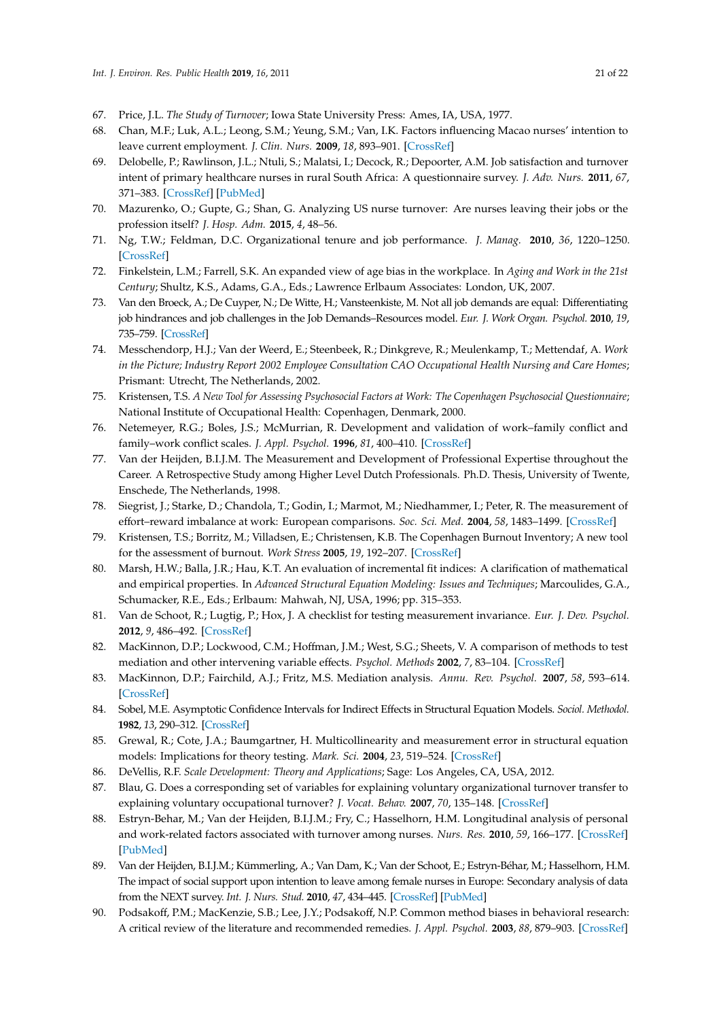- <span id="page-20-0"></span>67. Price, J.L. *The Study of Turnover*; Iowa State University Press: Ames, IA, USA, 1977.
- <span id="page-20-1"></span>68. Chan, M.F.; Luk, A.L.; Leong, S.M.; Yeung, S.M.; Van, I.K. Factors influencing Macao nurses' intention to leave current employment. *J. Clin. Nurs.* **2009**, *18*, 893–901. [\[CrossRef\]](http://dx.doi.org/10.1111/j.1365-2702.2008.02463.x)
- 69. Delobelle, P.; Rawlinson, J.L.; Ntuli, S.; Malatsi, I.; Decock, R.; Depoorter, A.M. Job satisfaction and turnover intent of primary healthcare nurses in rural South Africa: A questionnaire survey. *J. Adv. Nurs.* **2011**, *67*, 371–383. [\[CrossRef\]](http://dx.doi.org/10.1111/j.1365-2648.2010.05496.x) [\[PubMed\]](http://www.ncbi.nlm.nih.gov/pubmed/21044134)
- 70. Mazurenko, O.; Gupte, G.; Shan, G. Analyzing US nurse turnover: Are nurses leaving their jobs or the profession itself? *J. Hosp. Adm.* **2015**, *4*, 48–56.
- <span id="page-20-2"></span>71. Ng, T.W.; Feldman, D.C. Organizational tenure and job performance. *J. Manag.* **2010**, *36*, 1220–1250. [\[CrossRef\]](http://dx.doi.org/10.1177/0149206309359809)
- <span id="page-20-3"></span>72. Finkelstein, L.M.; Farrell, S.K. An expanded view of age bias in the workplace. In *Aging and Work in the 21st Century*; Shultz, K.S., Adams, G.A., Eds.; Lawrence Erlbaum Associates: London, UK, 2007.
- <span id="page-20-4"></span>73. Van den Broeck, A.; De Cuyper, N.; De Witte, H.; Vansteenkiste, M. Not all job demands are equal: Differentiating job hindrances and job challenges in the Job Demands–Resources model. *Eur. J. Work Organ. Psychol.* **2010**, *19*, 735–759. [\[CrossRef\]](http://dx.doi.org/10.1080/13594320903223839)
- <span id="page-20-5"></span>74. Messchendorp, H.J.; Van der Weerd, E.; Steenbeek, R.; Dinkgreve, R.; Meulenkamp, T.; Mettendaf, A. *Work in the Picture; Industry Report 2002 Employee Consultation CAO Occupational Health Nursing and Care Homes*; Prismant: Utrecht, The Netherlands, 2002.
- <span id="page-20-6"></span>75. Kristensen, T.S. *A New Tool for Assessing Psychosocial Factors at Work: The Copenhagen Psychosocial Questionnaire*; National Institute of Occupational Health: Copenhagen, Denmark, 2000.
- <span id="page-20-7"></span>76. Netemeyer, R.G.; Boles, J.S.; McMurrian, R. Development and validation of work–family conflict and family–work conflict scales. *J. Appl. Psychol.* **1996**, *81*, 400–410. [\[CrossRef\]](http://dx.doi.org/10.1037/0021-9010.81.4.400)
- <span id="page-20-8"></span>77. Van der Heijden, B.I.J.M. The Measurement and Development of Professional Expertise throughout the Career. A Retrospective Study among Higher Level Dutch Professionals. Ph.D. Thesis, University of Twente, Enschede, The Netherlands, 1998.
- <span id="page-20-9"></span>78. Siegrist, J.; Starke, D.; Chandola, T.; Godin, I.; Marmot, M.; Niedhammer, I.; Peter, R. The measurement of effort–reward imbalance at work: European comparisons. *Soc. Sci. Med.* **2004**, *58*, 1483–1499. [\[CrossRef\]](http://dx.doi.org/10.1016/S0277-9536(03)00351-4)
- <span id="page-20-10"></span>79. Kristensen, T.S.; Borritz, M.; Villadsen, E.; Christensen, K.B. The Copenhagen Burnout Inventory; A new tool for the assessment of burnout. *Work Stress* **2005**, *19*, 192–207. [\[CrossRef\]](http://dx.doi.org/10.1080/02678370500297720)
- <span id="page-20-11"></span>80. Marsh, H.W.; Balla, J.R.; Hau, K.T. An evaluation of incremental fit indices: A clarification of mathematical and empirical properties. In *Advanced Structural Equation Modeling: Issues and Techniques*; Marcoulides, G.A., Schumacker, R.E., Eds.; Erlbaum: Mahwah, NJ, USA, 1996; pp. 315–353.
- <span id="page-20-12"></span>81. Van de Schoot, R.; Lugtig, P.; Hox, J. A checklist for testing measurement invariance. *Eur. J. Dev. Psychol.* **2012**, *9*, 486–492. [\[CrossRef\]](http://dx.doi.org/10.1080/17405629.2012.686740)
- <span id="page-20-13"></span>82. MacKinnon, D.P.; Lockwood, C.M.; Hoffman, J.M.; West, S.G.; Sheets, V. A comparison of methods to test mediation and other intervening variable effects. *Psychol. Methods* **2002**, *7*, 83–104. [\[CrossRef\]](http://dx.doi.org/10.1037/1082-989X.7.1.83)
- <span id="page-20-14"></span>83. MacKinnon, D.P.; Fairchild, A.J.; Fritz, M.S. Mediation analysis. *Annu. Rev. Psychol.* **2007**, *58*, 593–614. [\[CrossRef\]](http://dx.doi.org/10.1146/annurev.psych.58.110405.085542)
- <span id="page-20-15"></span>84. Sobel, M.E. Asymptotic Confidence Intervals for Indirect Effects in Structural Equation Models. *Sociol. Methodol.* **1982**, *13*, 290–312. [\[CrossRef\]](http://dx.doi.org/10.2307/270723)
- <span id="page-20-16"></span>85. Grewal, R.; Cote, J.A.; Baumgartner, H. Multicollinearity and measurement error in structural equation models: Implications for theory testing. *Mark. Sci.* **2004**, *23*, 519–524. [\[CrossRef\]](http://dx.doi.org/10.1287/mksc.1040.0070)
- <span id="page-20-17"></span>86. DeVellis, R.F. *Scale Development: Theory and Applications*; Sage: Los Angeles, CA, USA, 2012.
- <span id="page-20-18"></span>87. Blau, G. Does a corresponding set of variables for explaining voluntary organizational turnover transfer to explaining voluntary occupational turnover? *J. Vocat. Behav.* **2007**, *70*, 135–148. [\[CrossRef\]](http://dx.doi.org/10.1016/j.jvb.2006.07.007)
- <span id="page-20-19"></span>88. Estryn-Behar, M.; Van der Heijden, B.I.J.M.; Fry, C.; Hasselhorn, H.M. Longitudinal analysis of personal and work-related factors associated with turnover among nurses. *Nurs. Res.* **2010**, *59*, 166–177. [\[CrossRef\]](http://dx.doi.org/10.1097/NNR.0b013e3181dbb29f) [\[PubMed\]](http://www.ncbi.nlm.nih.gov/pubmed/20421841)
- <span id="page-20-20"></span>89. Van der Heijden, B.I.J.M.; Kümmerling, A.; Van Dam, K.; Van der Schoot, E.; Estryn-Béhar, M.; Hasselhorn, H.M. The impact of social support upon intention to leave among female nurses in Europe: Secondary analysis of data from the NEXT survey. *Int. J. Nurs. Stud.* **2010**, *47*, 434–445. [\[CrossRef\]](http://dx.doi.org/10.1016/j.ijnurstu.2009.10.004) [\[PubMed\]](http://www.ncbi.nlm.nih.gov/pubmed/19909953)
- <span id="page-20-21"></span>90. Podsakoff, P.M.; MacKenzie, S.B.; Lee, J.Y.; Podsakoff, N.P. Common method biases in behavioral research: A critical review of the literature and recommended remedies. *J. Appl. Psychol.* **2003**, *88*, 879–903. [\[CrossRef\]](http://dx.doi.org/10.1037/0021-9010.88.5.879)